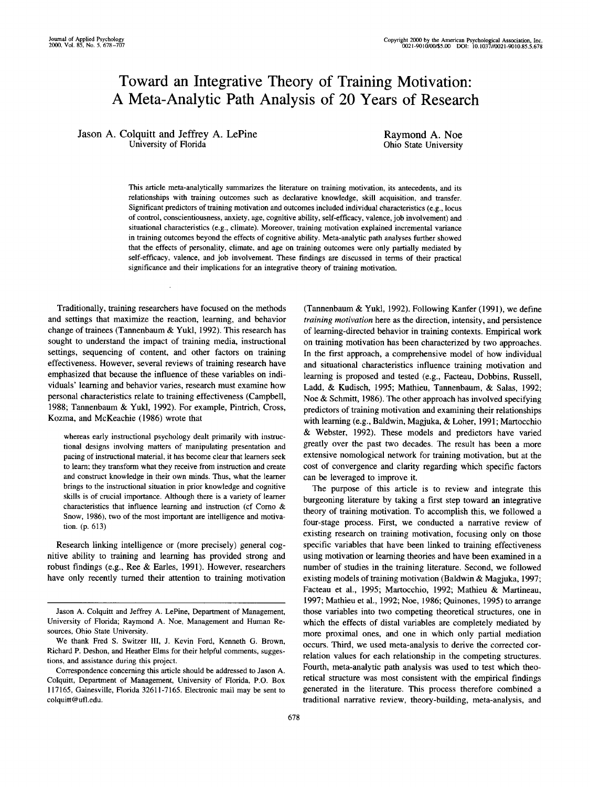# **Toward an Integrative Theory of Training Motivation: A Meta-Analytic Path Analysis of 20 Years of Research**

Jason A. Colquitt and Jeffrey A. LePine University of Florida

Raymond A. Noe Ohio State University

This article meta-analytically summarizes the literature on training motivation, its antecedents, and its relationships with training outcomes such as declarative knowledge, skill acquisition, and transfer. Significant predictors of training motivation and outcomes included individual characteristics (e.g., locus of control, conscientiousness, anxiety, age, cognitive ability, self-efficacy, valence, job involvement) and situational characteristics (e.g., climate). Moreover, training motivation explained incremental variance in training outcomes beyond the effects of cognitive ability. Meta-analytic path analyses further showed that the effects of personality, climate, and age on training outcomes were only partially mediated by self-efficacy, valence, and job involvement. These findings are discussed in terms of their practical significance and their implications for an integrative theory of training motivation.

Traditionally, training researchers have focused on the methods and settings that maximize the reaction, learning, and behavior change of trainees (Tannenbaum & Yukl, 1992). This research has sought to understand the impact of training media, instructional settings, sequencing of content, and other factors on training effectiveness. However, several reviews of training research have emphasized that because the influence of these variables on individuals' learning and behavior varies, research must examine how personal characteristics relate to training effectiveness (Campbell, 1988; Tannenbaum & Yukl, 1992). For example, Pintrich, Cross, Kozma, and McKeachie (1986) wrote that

whereas early instructional psychology dealt primarily with instructional designs involving matters of manipulating presentation and pacing of instructional material, it has become clear that learners seek to learn; they transform what they receive from instruction and create and construct knowledge in their own minds. Thus, what the learner brings to the instructional situation in prior knowledge and cognitive skills is of crucial importance. Although there is a variety of learner characteristics that influence learning and instruction (cf Como & Snow, 1986), two of the most important are intelligence and motivation. (p. 613)

Research linking intelligence or (more precisely) general cognitive ability to training and learning has provided strong and robust findings (e.g., Ree & Earles, 1991). However, researchers have only recently turned their attention to training motivation (Tannenbaum & Yukl, 1992). Following Kanfer (1991), we define *training motivation* here as the direction, intensity, and persistence of learning-directed behavior in training contexts. Empirical work on training motivation has been characterized by two approaches. In the first approach, a comprehensive model of how individual and situational characteristics influence training motivation and learning is proposed and tested (e.g., Facteau, Dobbins, Russell, Ladd, & Kudisch, 1995; Mathieu, Tannenbaum, & Salas, 1992; Noe & Schmitt, 1986). The other approach has involved specifying predictors of training motivation and examining their relationships with learning (e.g., Baldwin, Magjuka, & Lober, 1991; Martocchio & Webster, 1992). These models and predictors have varied greatly over the past two decades. The result has been a more extensive nomological network for training motivation, but at the cost of convergence and clarity regarding which specific factors can be leveraged to improve it.

The purpose of this article is to review and integrate this burgeoning literature by taking a first step toward an integrative theory of training motivation. To accomplish this, we followed a four-stage process. First, we conducted a narrative review of existing research on training motivation, focusing only on those specific variables that have been linked to training effectiveness using motivation or learning theories and have been examined in a number of studies in the training literature. Second, we followed existing models of training motivation (Baldwin & Magjuka, 1997; Facteau et al., 1995; Martocchio, 1992; Mathieu & Martineau, 1997; Mathieu et al., 1992; Noe, 1986; Quinones, 1995) to arrange those variables into two competing theoretical structures, one in which the effects of distal variables are completely mediated by more proximal ones, and one in which only partial mediation occurs. Third, we used meta-analysis to derive the corrected correlation values for each relationship in the competing structures. Fourth, meta-analytic path analysis was used to test which theoretical structure was most consistent with the empirical findings generated in the literature. This process therefore combined a traditional narrative review, theory-building, meta-analysis, and

Jason A. Colquitt and Jeffrey A. LePine, Department of Management, University of Florida; Raymond A. Noe, Management and Human Resources, Ohio State University.

We thank Fred S. Switzer III, J. Kevin Ford, Kenneth G. Brown, Richard P. Deshon, and Heather Elms for their helpful comments, suggestions, and assistance during this project.

Correspondence concerning this article should be addressed to Jason A. Colquitt, Department of Management, University of Florida, P.O. Box 117165, Gainesville, Florida 32611-7165. Electronic mail may be sent to colquitt@ufl.edu.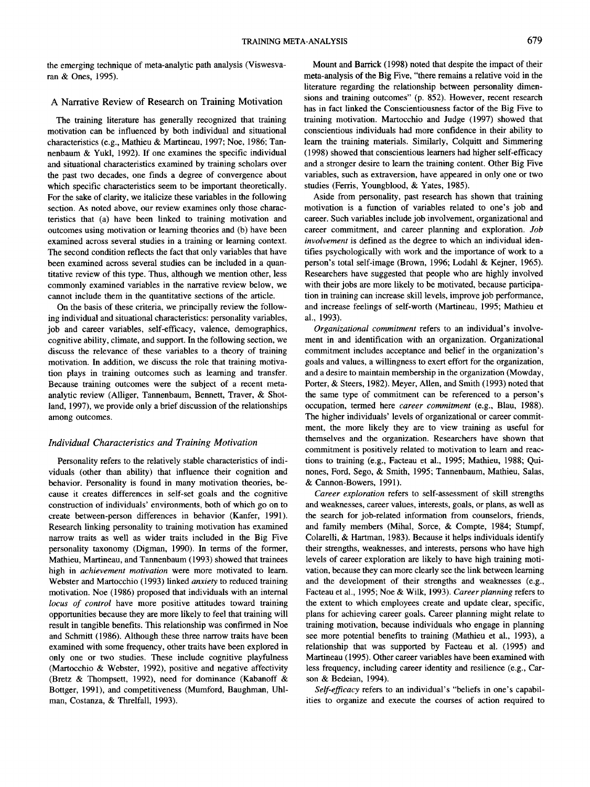the emerging technique of meta-analytic path analysis (Viswesvaran & Ones, 1995).

#### A Narrative Review of Research on Training Motivation

The training literature has generally recognized that training motivation can be influenced by both individual and situational characteristics (e.g., Mathieu & Martineau, 1997; Noe, 1986; Tannenbaum & Yukl, 1992). If one examines the specific individual and situational characteristics examined by training scholars over the past two decades, one finds a degree of convergence about which specific characteristics seem to be important theoretically. For the sake of clarity, we italicize these variables in the following section. As noted above, our review examines only those characteristics that (a) have been linked to training motivation and outcomes using motivation or learning theories and (b) have been examined across several studies in a training or learning context. The second condition reflects the fact that only variables that have been examined across several studies can be included in a quantitative review of this type. Thus, although we mention other, less commonly examined variables in the narrative review below, we cannot include them in the quantitative sections of the article.

On the basis of these criteria, we principally review the following individual and situational characteristics: personality variables, job and career variables, self-efficacy, valence, demographics, cognitive ability, climate, and support. In the following section, we discuss the relevance of these variables to a theory of training motivation. In addition, we discuss the role that training motivation plays in training outcomes such as learning and transfer. Because training outcomes were the subject of a recent metaanalytic review (Alliger, Tannenbaum, Bennett, Traver, & Shotland, 1997), we provide only a brief discussion of the relationships among outcomes.

# *Individual Characteristics and Training Motivation*

Personality refers to the relatively stable characteristics of individuals (other than ability) that influence their cognition and behavior. Personality is found in many motivation theories, because it creates differences in self-set goals and the cognitive construction of individuals' environments, both of which go on to create between-person differences in behavior (Kanfer, 1991). Research linking personality to training motivation has examined narrow traits as well as wider traits included in the Big Five personality taxonomy (Digman, 1990). In terms of the former, Mathieu, Martineau, and Tannenbaum (1993) showed that trainees high in *achievement motivation* were more motivated to learn. Webster and Martocchio (1993) linked *anxiety* to reduced training motivation. Noe (1986) proposed that individuals with an internal *locus of control* have more positive attitudes toward training opportunities because they are more likely to feel that training will result in tangible benefits. This relationship was confirmed in Noe and Schmitt (1986). Although these three narrow traits have been examined with some frequency, other traits have been explored in only one or two studies. These include cognitive playfulness (Martocchio & Webster, 1992), positive and negative affectivity (Bretz & Thompsett, 1992), need for dominance (Kabanoff & Bottger, 1991), and competitiveness (Mumford, Baughman, Uhlman, Costanza, & Threlfall, 1993).

Mount and Barrick (1998) noted that despite the impact of their meta-analysis of the Big Five, "there remains a relative void in the literature regarding the relationship between personality dimensions and training outcomes" (p. 852). However, recent research has in fact linked the Conscientiousness factor of the Big Five to training motivation. Martocchio and Judge (1997) showed that conscientious individuals had more confidence in their ability to learn the training materials. Similarly, Colquitt and Simmering (1998) showed that conscientious learners had higher self-efficacy and a stronger desire to learn the training content. Other Big Five variables, such as extraversion, have appeared in only one or two studies (Ferris, Youngblood, & Yates, 1985).

Aside from personality, past research has shown that training motivation is a function of variables related to one's job and career. Such variables include job involvement, organizational and career commitment, and career planning and exploration. *Job involvement* is defined as the degree to which an individual identifies psychologically with work and the importance of work to a person's total self-image (Brown, 1996; Lodahl & Kejner, 1965). Researchers have suggested that people who are highly involved with their jobs are more likely to be motivated, because participation in training can increase skill levels, improve job performance, and increase feelings of self-worth (Martineau, 1995; Mathieu et al., 1993).

*Organizational commitment* refers to an individual's involvement in and identification with an organization. Organizational commitment includes acceptance and belief in the organization's goals and values, a willingness to exert effort for the organization, and a desire to maintain membership in the organization (Mowday, Porter, & Steers, 1982). Meyer, Allen, and Smith (1993) noted that the same type of commitment can be referenced to a person's occupation, termed here *career commitment* (e.g., Blau, 1988). The higher individuals' levels of organizational or career commitment, the more likely they are to view training as useful for themselves and the organization. Researchers have shown that commitment is positively related to motivation to learn and reactions to training (e.g., Facteau et al., 1995; Mathieu, 1988; Quinones, Ford, Sego, & Smith, 1995; Tannenbaum, Mathieu, Salas, & Cannon-Bowers, 1991).

*Career exploration* refers to self-assessment of skill strengths and weaknesses, career values, interests, goals, or plans, as well as the search for job-related information from counselors, friends, and family members (Mihal, Sorce, & Compte, 1984; Stumpf, Colarelli, & Hartman, 1983). Because it helps individuals identify their strengths, weaknesses, and interests, persons who have high levels of career exploration are likely to have high training motivation, because they can more clearly see the link between learning and the development of their strengths and weaknesses (e.g., Facteau et al., 1995; Noe & Wilk, 1993). *Career planning* refers to the extent to which employees create and update clear, specific, plans for achieving career goals. Career planning might relate to training motivation, because individuals who engage in planning see more potential benefits to training (Mathieu et al., 1993), a relationship that was supported by Facteau et al. (1995) and Martineau (1995). Other career variables have been examined with less frequency, including career identity and resilience (e.g., Carson & Bedeian, 1994).

*Self-efficacy* refers to an individual's "beliefs in one's capabilities to organize and execute the courses of action required to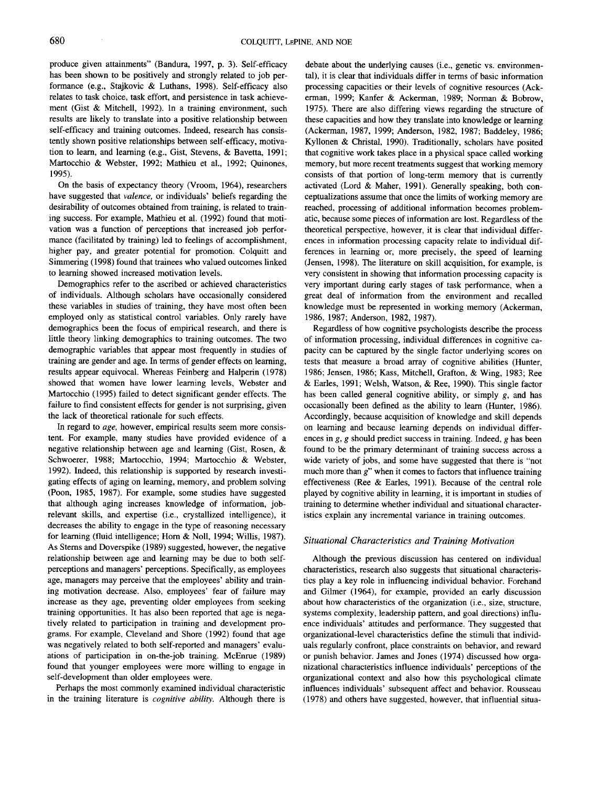produce given attainments" (Bandura, 1997, p. 3). Self-efficacy has been shown to be positively and strongly related to job performance (e.g., Stajkovic & Luthans, 1998). Self-efficacy also relates to task choice, task effort, and persistence in task achievement (Gist & Mitchell, 1992). In a training environment, such results are likely to translate into a positive relationship between self-efficacy and training outcomes. Indeed, research has consistently shown positive relationships between self-efficacy, motivation to learn, and learning (e.g., Gist, Stevens, & Bavetta, 1991; Martocchio & Webster, 1992; Mathieu et al., 1992; Quinones, 1995).

On the basis of expectancy theory (Vroom, 1964), researchers have suggested that *valence,* or individuals' beliefs regarding the desirability of outcomes obtained from training, is related to training success. For example, Mathieu et al. (1992) found that motivation was a function of perceptions that increased job performance (facilitated by training) led to feelings of accomplishment, higher pay, and greater potential for promotion. Colquitt and Simmering (1998) found that trainees who valued outcomes linked to learning showed increased motivation levels.

Demographics refer to the ascribed or achieved characteristics of individuals. Although scholars have occasionally considered these variables in studies of training, they have most often been employed only as statistical control variables. Only rarely have demographics been the focus of empirical research, and there is little theory linking demographics to training outcomes. The two demographic variables that appear most frequently in studies of training are gender and age. In terms of gender effects on learning, results appear equivocal. Whereas Feinberg and Halperin (1978) showed that women have lower learning levels, Webster and Martocchio (1995) failed to detect significant gender effects. The failure to find consistent effects for gender is not surprising, given the lack of theoretical rationale for such effects.

In regard to *age,* however, empirical results seem more consistent. For example, many studies have provided evidence of a negative relationship between age and learning (Gist, Rosen, & Schwoerer, 1988; Martocchio, 1994; Martocchio & Webster, 1992). Indeed, this relationship is supported by research investigating effects of aging on learning, memory, and problem solving (Poon, 1985, 1987). For example, some studies have suggested that although aging increases knowledge of information, jobrelevant skills, and expertise (i.e., crystallized intelligence), it decreases the ability to engage in the type of reasoning necessary for learning (fluid intelligence; Horn & Noll, 1994; Willis, 1987). As Sterns and Doverspike (1989) suggested, however, the negative relationship between age and learning may be due to both selfperceptions and managers' perceptions. Specifically, as employees age, managers may perceive that the employees' ability and training motivation decrease. Also, employees' fear of failure may increase as they age, preventing older employees from seeking training opportunities. It has also been reported that age is negatively related to participation in training and development programs. For example, Cleveland and Shore (1992) found that age was negatively related to both self-reported and managers' evaluations of participation in on-the-job training. McEnrue (1989) found that younger employees were more willing to engage in self-development than older employees were.

Perhaps the most commonly examined individual characteristic in the training literature is *cognitive ability.* Although there is

debate about the underlying causes (i.e., genetic vs. environmental), it is clear that individuals differ in terms of basic information processing capacities or their levels of cognitive resources (Ackerman, 1999; Kanfer & Ackerman, 1989; Norman & Bobrow, 1975). There are also differing views regarding the structure of these capacities and how they translate into knowledge or learning (Ackerman, 1987, 1999; Anderson, 1982, 1987; Baddeley, 1986; Kyllonen & Christal, 1990). Traditionally, scholars have posited that cognitive work takes place in a physical space called working memory, but more recent treatments suggest that working memory consists of that portion of long-term memory that is currently activated (Lord & Maher, 1991). Generally speaking, both conceptualizations assume that once the limits of working memory are reached, processing of additional information becomes problematic, because some pieces of information are lost. Regardless of the theoretical perspectiye, however, it is clear that individual differences in information processing capacity relate to individual differences in learning or, more precisely, the speed of learning (Jensen, 1998). The literature on skill acquisition, for example, is very consistent in showing that information processing capacity is very important during early stages of task performance, when a great deal of information from the environment and recalled knowledge must be represented in working memory (Ackerman, 1986, 1987; Anderson, 1982, 1987).

Regardless of how cognitive psychologists describe the process of information processing, individual differences in cognitive capacity can be captured by the single factor underlying scores on tests that measure a broad array of cognitive abilities (Hunter, 1986; Jensen, 1986; Kass, Mitchell, Grafton, & Wing, 1983; Ree & Earles, 1991; Welsh, Watson, & Ree, 1990). This single factor has been called general cognitive ability, or simply g, and has occasionally been defined as the ability to learn (Hunter, 1986). Accordingly, because acquisition of knowledge and skill depends on learning and because learning depends on individual differences in g, g should predict success in training. Indeed, g has been found to be the primary determinant of training success across a wide variety of jobs, and some have suggested that there is "not much more than  $g''$  when it comes to factors that influence training effectiveness (Ree & Earles, 1991). Because of the central role played by cognitive ability in learning, it is important in studies of training to determine whether individual and situational characteristics explain any incremental variance in training outcomes.

# *Situational Characteristics and Training Motivation*

Although the previous discussion has centered on individual characteristics, research also suggests that situational characteristics play a key role in influencing individual behavior. Forehand and Gilmer (1964), for example, provided an early discussion about how characteristics of the organization (i.e., size, structure, systems complexity, leadership pattern, and goal directions) influence individuals' attitudes and performance. They suggested that organizational-level characteristics define the stimuli that individuals regularly confront, place constraints on behavior, and reward or punish behavior. James and Jones (1974) discussed how organizational characteristics influence individuals' perceptions of the organizational context and also how this psychological climate influences individuals' subsequent affect and behavior. Rousseau (1978) and others have suggested, however, that influential situa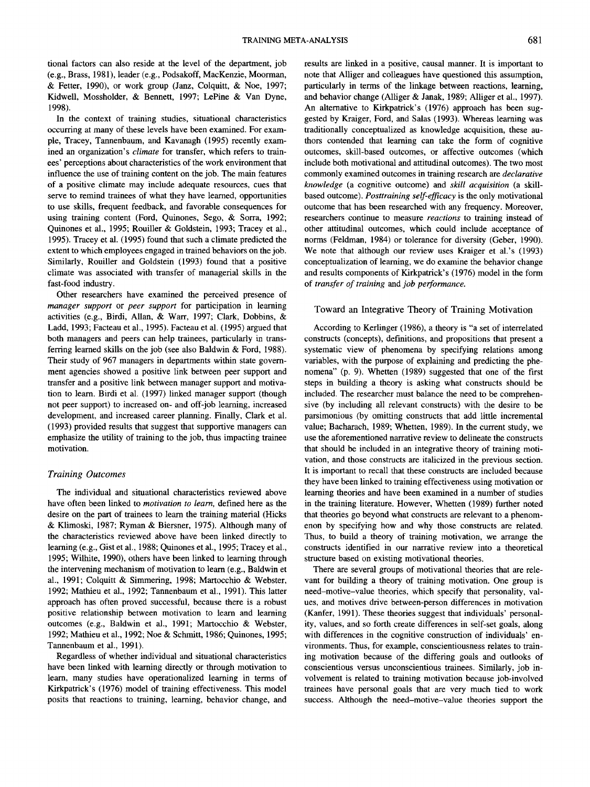tional factors can also reside at the level of the department, job (e.g., Brass, 1981), leader (e.g., Podsakoff, MacKenzie, Moorman, & Fetter, 1990), or work group (Janz, Colquitt, & Noe, 1997; Kidwell, Mossholder, & Bennett, 1997; LePine & Van Dyne, 1998).

In the context of training studies, situational characteristics occurring at many of these levels have been examined. For example, Tracey, Tannenbaum, and Kavanagh (1995) recently examined an organization's *climate* for transfer, which refers to trainees' perceptions about characteristics of the work environment that influence the use of training content on the job. The main features of a positive climate may include adequate resources, cues that serve to remind trainees of what they have learned, opportunities to use skills, frequent feedback, and favorable consequences for using training content (Ford, Quinones, Sego, & Sorra, 1992; Quinones et al., 1995; Rouiller & Goldstein, 1993; Tracey et al., 1995). Tracey et al. (1995) found that such a climate predicted the extent to which employees engaged in trained behaviors on the job. Similarly, Rouiller and Goldstein (1993) found that a positive climate was associated with transfer of managerial skills in the fast-food industry.

Other researchers have examined the perceived presence of *manager support* or *peer support* for participation in learning activities (e.g., Birdi, Allan, & Warr, 1997; Clark, Dobbins, & Ladd, 1993; Facteau et al., 1995). Facteau et al. (1995) argued that both managers and peers can help trainees, particularly in transferring learned skills on the job (see also Baldwin & Ford, 1988). Their study of 967 managers in departments within state government agencies showed a positive link between peer support and transfer and a positive link between manager support and motivation to learn. Birdi et al. (1997) linked manager support (though not peer support) to increased on- and off-job learning, increased development, and increased career planning. Finally, Clark et al. (1993) provided results that suggest that supportive managers can emphasize the utility of training to the job, thus impacting trainee motivation.

# *Training Outcomes*

The individual and situational characteristics reviewed above have often been linked to *motivation to learn,* defined here as the desire on the part of trainees to learn the training material (Hicks & Klimoski, 1987; Ryman & Biersner, 1975). Although many of the characteristics reviewed above have been linked directly to learning (e.g., Gist et al., 1988; Quinones et al., 1995; Tracey et al., 1995; Wilhite, 1990), others have been linked to learning through the intervening mechanism of motivation to learn (e.g., Baldwin et al., 1991; Colquitt & Simmering, 1998; Martocchio & Webster, 1992; Mathieu et al., 1992; Tannenbaum et al., 1991). This latter approach has often proved successful, because there is a robust positive relationship between motivation to learn and learning outcomes (e.g., Baldwin et al., 1991; Martocchio & Webster, 1992; Mathieu et al., 1992; Noe & Schmitt, 1986; Quinones, 1995; Tannenbaum et al., 1991).

Regardless of whether individual and situational characteristics have been linked with learning directly or through motivation to learn, many studies have operationalized learning in terms of Kirkpatrick's (1976) model of training effectiveness. This model posits that reactions to training, learning, behavior change, and

results are linked in a positive, causal manner. It is important to note that Alliger and colleagues have questioned this assumption, particularly in terms of the linkage between reactions, learning, and behavior change (Alliger & Janak, 1989; AUiger et al., 1997). An alternative to Kirkpatrick's (1976) approach has been suggested by Kraiger, Ford, and Salas (1993). Whereas learning was traditionally conceptualized as knowledge acquisition, these authors contended that learning can take the form of cognitive outcomes, skill-based outcomes, or affective outcomes (which include both motivational and attitudinal outcomes). The two most commonly examined outcomes in training research are *declarative knowledge* (a cognitive outcome) and *skill acquisition* (a skillbased outcome). *Posttraining self-efficacy* is the only motivational outcome that has been researched with any frequency. Moreover, researchers continue to measure *reactions* to training instead of other attitudinal outcomes, which could include acceptance of norms (Feldman, 1984) or tolerance for diversity (Geber, 1990). We note that although our review uses Kraiger et al.'s (1993) conceptualization of learning, we do examine the behavior change and results components of Kirkpatrick's (1976) model in the form of *transfer of training and job performance.* 

#### Toward an Integrative Theory of Training Motivation

According to Kerlinger (1986), a theory is "a set of interrelated constructs (concepts), definitions, and propositions that present a systematic view of phenomena by specifying relations among variables, with the purpose of explaining and predicting the phenomena" (p. 9). Whetten (1989) suggested that one of the first steps in building a theory is asking what constructs should be included. The researcher must balance the need to be comprehensive (by including all relevant constructs) with the desire to be parsimonious (by omitting constructs that add little incremental value; Bacharach, 1989; Whetten, 1989). In the current study, we use the aforementioned narrative review to delineate the constructs that should be included in an integrative theory of training motivation, and those constructs are italicized in the previous section. It is important to recall that these constructs are included because they have been linked to training effectiveness using motivation or learning theories and have been examined in a number of studies in the training literature. However, Whetten (1989) further noted that theories go beyond what constructs are relevant to a phenomenon by specifying how and why those constructs are related. Thus, to build a theory of training motivation, we arrange the constructs identified in our narrative review into a theoretical structure based on existing motivational theories.

There are several groups of motivational theories that are relevant for building a theory of training motivation. One group is need-motive-value theories, which specify that personality, values, and motives drive between-person differences in motivation (Kanfer, 1991). These theories suggest that individuals' personality, values, and so forth create differences in self-set goals, along with differences in the cognitive construction of individuals' environments. Thus, for example, conscientiousness relates to training motivation because of the differing goals and outlooks of conscientious versus unconscientious trainees. Similarly, job involvement is related to training motivation because job-involved trainees have personal goals that are very much tied to work success. Although the need-motive-value theories support the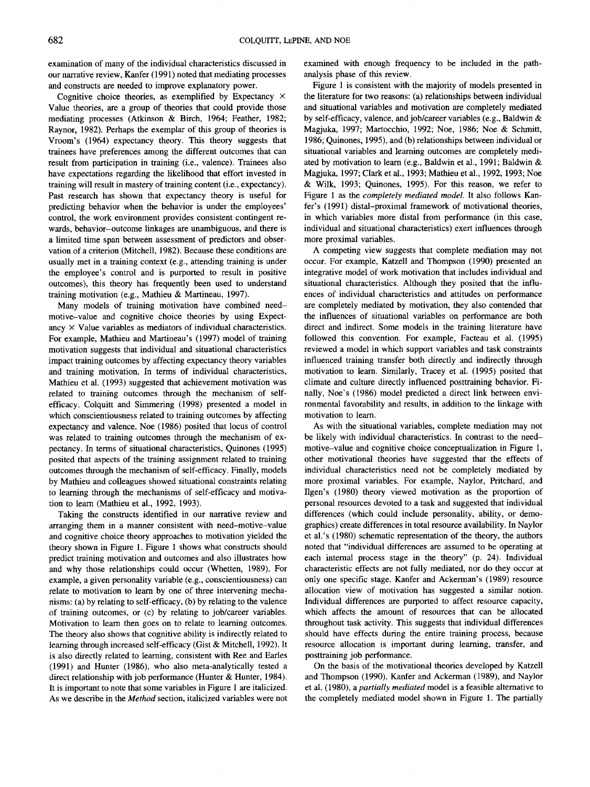examination of many of the individual characteristics discussed in our narrative review, Kanfer (1991) noted that mediating processes and constructs are needed to improve explanatory power.

Cognitive choice theories, as exemplified by Expectancy  $\times$ Value theories, are a group of theories that could provide those mediating processes (Atkinson & Birch, 1964; Feather, 1982; Raynor, 1982). Perhaps the exemplar of this group of theories is Vroom's (1964) expectancy theory. This theory suggests that trainees have preferences among the different outcomes that can result from participation in training (i.e., valence). Trainees also have expectations regarding the likelihood that effort invested in training will result in mastery of training content (i.e., expectancy). Past research has shown that expectancy theory is useful for predicting behavior when the behavior is under the employees' control, the work environment provides consistent contingent rewards, behavior-outcome linkages are unambiguous, and there is a limited time span between assessment of predictors and observation of a criterion (Mitchell, 1982). Because these conditions are usually met in a training context (e.g., attending training is under the employee's control and is purported to result in positive outcomes), this theory has frequently been used to understand training motivation (e.g., Mathieu & Martineau, 1997).

Many models of training motivation have combined needmotive-value and cognitive choice theories by using Expectancy  $\times$  Value variables as mediators of individual characteristics. For example, Mathieu and Martineau's (1997) model of training motivation suggests that individual and situational characteristics impact training outcomes by affecting expectancy theory variables and training motivation. In terms of individual characteristics, Mathieu et al. (1993) suggested that achievement motivation was related to training outcomes through the mechanism of selfefficacy. Colquitt and Simmering (1998) presented a model in which conscientiousness related to training outcomes by affecting expectancy and valence. Noe (1986) posited that locus of control was related to training outcomes through the mechanism of expectancy. In terms of situational characteristics, Quinones (1995) posited that aspects of the training assignment related to training outcomes through the mechanism of self-efficacy. Finally, models by Mathieu and colleagues showed situational constraints relating to learning through the mechanisms of self-efficacy and motivation to learn (Mathieu et al., 1992, 1993).

Taking the constructs identified in our narrative review and arranging them in a manner consistent with need-motive-value and cognitive choice theory approaches to motivation yielded the theory shown in Figure 1. Figure 1 shows what constructs should predict training motivation and outcomes and also illustrates how and why those relationships could occur (Whetten, 1989). For example, a given personality variable (e.g., conscientiousness) can relate to motivation to learn by one of three intervening mechanisms: (a) by relating to self-efficacy, (b) by relating to the valence of training outcomes, or (c) by relating to job/career variables. Motivation to learn then goes on to relate to learning outcomes. The theory also shows that cognitive ability is indirectly related to learning through increased self-efficacy (Gist & Mitchell, 1992). It is also directly related to learning, consistent with Ree and Earles (1991) and Hunter (1986), who also meta-analytically tested a direct relationship with job performance (Hunter & Hunter, 1984). It is important to note that some variables in Figure 1 are italicized. As we describe in the *Method* section, italicized variables were not examined with enough frequency to be included in the pathanalysis phase of this review.

Figure 1 is consistent with the majority of models presented in the literature for two reasons: (a) relationships between individual and situational variables and motivation are completely mediated by self-efficacy, valence, and job/career variables (e.g., Baldwin & Magjuka, 1997; Martocchio, 1992; Noe, 1986; Noe & Schmitt, 1986; Quinones, 1995), and (b) relationships between individual or situational variables and learning outcomes are completely mediated by motivation to learn (e.g., Baldwin et al., 1991; Baldwin & Magjuka, 1997; Clark et al., 1993; Mathieu et al., 1992, 1993; Noe & Wilk, 1993; Quinones, 1995). For this reason, we refer to Figure 1 as the *completely mediated model.* It also follows Kanfer's (1991) distal-proximal framework of motivational theories, in which variables more distal from performance (in this case, individual and situational characteristics) exert influences through more proximal variables.

A competing view suggests that complete mediation may not occur. For example, Katzell and Thompson (1990) presented an integrative model of work motivation that includes individual and situational characteristics. Although they posited that the influences of individual characteristics and attitudes on performance are completely mediated by motivation, they also contended that the influences of situational variables on performance are both direct and indirect. Some models in the training literature have followed this convention. For example, Facteau et al. (1995) reviewed a model in which support variables and task constraints influenced training transfer both directly and indirectly through motivation to learn. Similarly, Tracey et al. (1995) posited that climate and culture directly influenced posttraining behavior. Finally, Noe's (1986) model predicted a direct link between environmental favorability and results, in addition to the linkage with motivation to learn.

As with the situational variables, complete mediation may not be likely with individual characteristics. In contrast to the needmotive-value and cognitive choice conceptualization in Figure 1, other motivational theories have suggested that the effects of individual characteristics need not be completely mediated by more proximal variables. For example, Naylor, Pritchard, and Ilgen's (1980) theory viewed motivation as the proportion of personal resources devoted to a task and suggested that individual differences (which could include personality, ability, or demographics) create differences in total resource availability. In Naylor et al.'s (1980) schematic representation of the theory, the authors noted that "individual differences are assumed to be operating at each internal process stage in the theory" (p. 24). Individual characteristic effects are not fully mediated, nor do they occur at only one specific stage. Kanfer and Ackerman's (1989) resource allocation view of motivation has suggested a similar notion. Individual differences are purported to affect resource capacity, which affects the amount of resources that can be allocated throughout task activity. This suggests that individual differences should have effects during the entire training process, because resource allocation is important during learning, transfer, and posttraining job performance.

On the basis of the motivational theories developed by Katzell and Thompson (1990), Kanfer and Ackerman (1989), and Naylor et al. (1980), a *partially mediated* model is a feasible alternative to the completely mediated model shown in Figure 1. The partially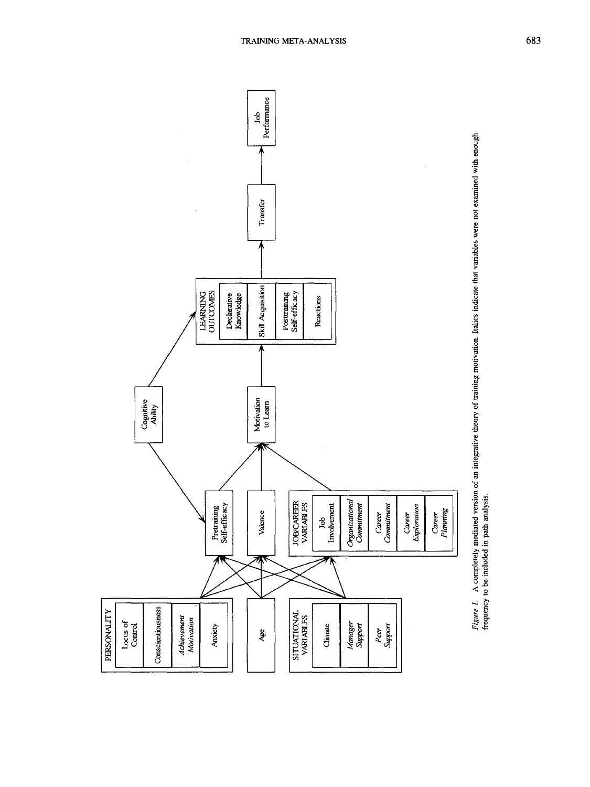

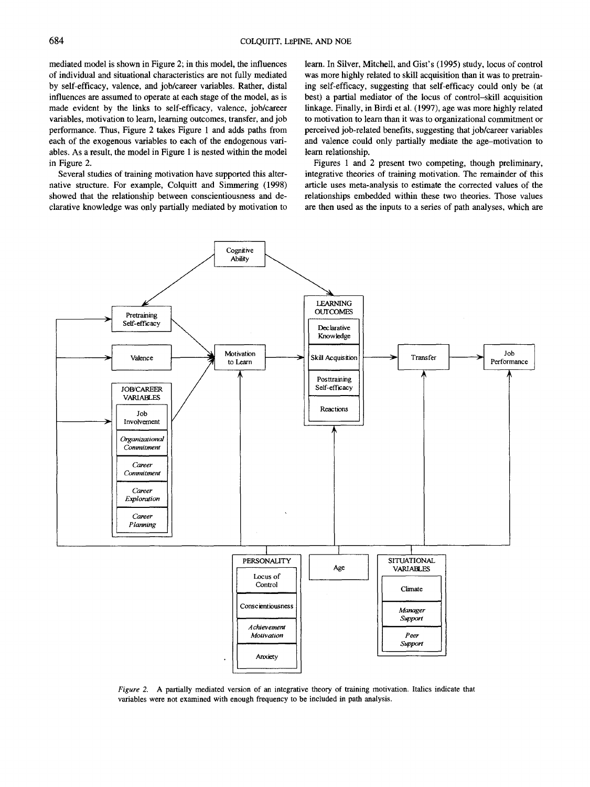mediated model is shown in Figure 2; in this model, the influences of individual and situational characteristics are not fully mediated by self-efficacy, valence, and job/career variables. Rather, distal influences are assumed to operate at each stage of the model, as is made evident by the links to self-efficacy, valence, job/career variables, motivation to learn, learning outcomes, transfer, and job performance. Thus, Figure 2 takes Figure 1 and adds paths from each of the exogenous variables to each of the endogenous variables. As a result, the model in Figure 1 is nested within the model in Figure 2.

Several studies of training motivation have supported this alternative structure. For example, Colquitt and Simmering (1998) showed that the relationship between conscientiousness and declarative knowledge was only partially mediated by motivation to learn. In Silver, Mitchell, and Gist's (1995) study, locus of control was more highly related to skill acquisition than it was to pretraining self-efficacy, suggesting that self-efficacy could only be (at best) a partial mediator of the locus of control-skill acquisition linkage. Finally, in Birdi et al. (1997), age was more highly related to motivation to learn than it was to organizational commitment or perceived job-related benefits, suggesting that job/career variables and valence could only partially mediate the age-motivation to learn relationship.

Figures 1 and 2 present two competing, though preliminary, integrative theories of training motivation. The remainder of this article uses meta-analysis to estimate the corrected values of the relationships embedded within these two theories. Those values are then used as the inputs to a series of path analyses, which are



*Figure* 2. A partially mediated version of an integrative theory of training motivation. Italics indicate that variables were not examined with enough frequency to be included in path analysis.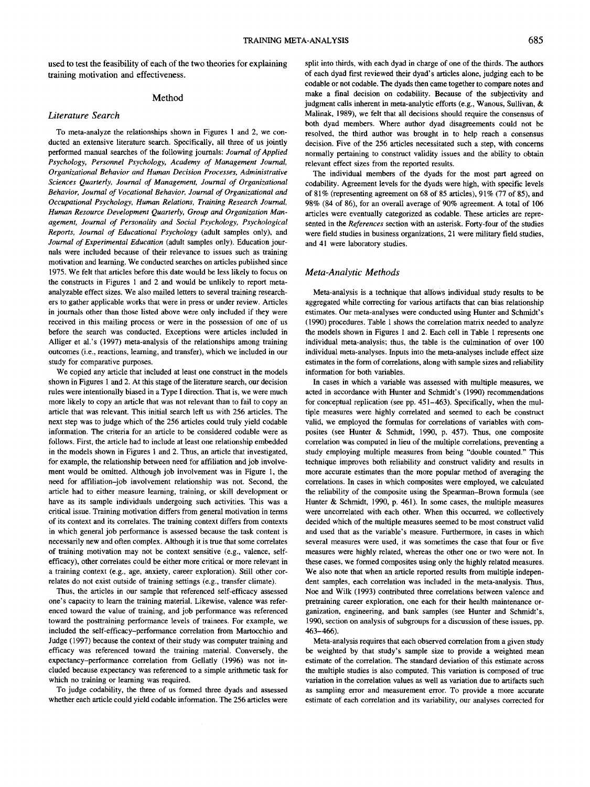used to test the feasibility of each of the two theories for explaining training motivation and effectiveness.

#### Method

#### *Literature Search*

To meta-analyze the relationships shown in Figures 1 and 2, we conducted an extensive literature search. Specifically, all three of us jointly performed manual searches of the following journals: *Journal of Applied Psychology, Personnel Psychology, Academy of Management Journal, Organizational Behavior and Human Decision Processes, Administrative Sciences Quarterly, Journal of Management, Journal of Organizational Behavior, Journal of Vocational Behavior, Journal of Organizational and Occupational Psychology, Human Relations, Training Research Journal, Human Resource Development Quarterly, Group and Organization Management, Journal of Personality and Social Psychology, Psychological Reports, Journal of Educational Psychology* (adult samples only), and *Journal of Experimental Education* (adult samples only). Education journals were included because of their relevance to issues such as training motivation and learning. We conducted searches on articles published since 1975. We felt that articles before this date would be less likely to focus on the constructs in Figures 1 and 2 and would be unlikely to report metaanalyzable effect sizes. We also mailed letters to several training researchers to gather applicable works that were in press or under review. Articles in journals other than those listed above were only included if they were received in this mailing process or were in the possession of one of us before the search was conducted. Exceptions were articles included in Alliger et al.'s (1997) meta-analysis of the relationships among training outcomes (i.e., reactions, learning, and transfer), which we included in our study for comparative purposes.

We copied any article that included at least one construct in the models shown in Figures 1 and 2. At this stage of the literature search, our decision rules were intentionally biased in a Type I direction. That is, we were much more likely to copy an article that was not relevant than to fail to copy an article that was relevant. This initial search left us with 256 articles. The next step was to judge which of the 256 articles could truly yield codable information. The criteria for an article to be considered codable were as follows. First, the article had to include at least one relationship embedded in the models shown in Figures 1 and 2. Thus, an article that investigated, for example, the relationship between need for affiliation and job involvement would be omitted. Although job involvement was in Figure 1, the need for affiliation-job involvement relationship was not. Second, the article had to either measure learning, training, or skill development or have as its sample individuals undergoing such activities. This was a critical issue. Training motivation differs from general motivation in terms of its context and its correlates. The training context differs from contexts in which general job performance is assessed because the task content is necessarily new and often complex. Although it is true that some correlates of training motivation may not be context sensitive (e.g., valence, selfefficacy), other correlates could be either more critical or more relevant in a training context (e.g., age, anxiety, career exploration). Still other correlates do not exist outside of training settings (e.g., transfer climate).

Thus, the articles in our sample that referenced self-efficacy assessed one's capacity to learn the training material. Likewise, valence was referenced toward the value of training, and job performance was referenced toward the posttraining performance levels of trainees. For example, we included the self-efficacy-performance correlation from Martocchio and Judge (1997) because the context of their study was computer training and efficacy was referenced toward the training material. Conversely, the expectancy-performance correlation from Gellatly (1996) was not included because expectancy was referenced to a simple arithmetic task for which no training or learning was required.

To judge codability, the three of us formed three dyads and assessed whether each article could yield codable information. The 256 articles were

split into thirds, with each dyad in charge of one of the thirds. The authors of each dyad first reviewed their dyad's articles alone, judging each to be codable or not codable. The dyads then came together to compare notes and make a final decision on codability. Because of the subjectivity and judgment calls inherent in meta-analytic efforts (e.g., Wanous, Sullivan, & Malinak, 1989), we felt that all decisions should require the consensus of both dyad members. Where author dyad disagreements could not be resolved, the third author was brought in to help reach a consensus decision. Five of the 256 articles necessitated such a step, with concerns normally pertaining to construct validity issues and the ability to obtain relevant effect sizes from the reported results.

The individual members of the dyads for the most part agreed on codability. Agreement levels for the dyads were high, with specific levels of 81% (representing agreement on 68 of 85 articles), 91% (77 of 85), and 98% (84 of 86), for an overall average of 90% agreement. A total of 106 articles were eventually categorized as codable. These articles are represented in the *References* section with an asterisk. Forty-four of the studies were field studies in business organizations, 21 were military field studies, and 41 were laboratory studies.

#### *Meta-Analytic Methods*

Meta-analysis is a technique that allows individual study results to be aggregated while correcting for various artifacts that can bias relationship estimates. Our meta-analyses were conducted using Hunter and Schmidt's (1990) procedures. Table 1 shows the correlation matrix needed to analyze the models shown in Figures 1 and 2. Each cell in Table 1 represents one individual meta-analysis; thus, the table is the culmination of over 100 individual meta-analyses. Inputs into the meta-analyses include effect size estimates in the form of correlations, along with sample sizes and reliability information for both variables.

In cases in which a variable was assessed with multiple measures, we acted in accordance with Hunter and Schmidt's (1990) recommendations for conceptual replication (see pp. 451-463). Specifically, when the multiple measures were highly correlated and seemed to each be construct valid, we employed the formulas for correlations of variables with composites (see Hunter & Schmidt, 1990, p. 457). Thus, one composite correlation was computed in lieu of the multiple correlations, preventing a study employing multiple measures from being "double counted." This technique improves both reliability and construct validity and results in more accurate estimates than the more popular method of averaging the correlations. In cases in which composites were employed, we calculated the reliability of the composite using the Spearman-Brown formula (see Hunter & Schmidt, 1990, p. 461). In some cases, the multiple measures were uncorrelated with each other. When this occurred, we collectively decided which of the multiple measures seemed to be most construct valid and used that as the variable's measure. Furthermore, in cases in which several measures were used, it was sometimes the case that four or five measures were highly related, whereas the other one or two were not. In these cases, we formed composites using only the highly related measures. We also note that when an article reported results from multiple independent samples, each correlation was included in the meta-analysis. Thus, Noe and Wilk (1993) contributed three correlations between valence and pretraining career exploration, one each for their health maintenance organization, engineering, and bank samples (see Hunter and Schmidt's, 1990, section on analysis of subgroups for a discussion of these issues, pp. 463-466).

Meta-analysis requires that each observed correlation from a given study be weighted by that study's sample size to provide a weighted mean estimate of the correlation. The standard deviation of this estimate across the multiple studies is also computed. This variation is composed of true variation in the correlation values as well as variation due to artifacts such as sampling error and measurement error. To provide a more accurate estimate of each correlation and its variability, our analyses corrected for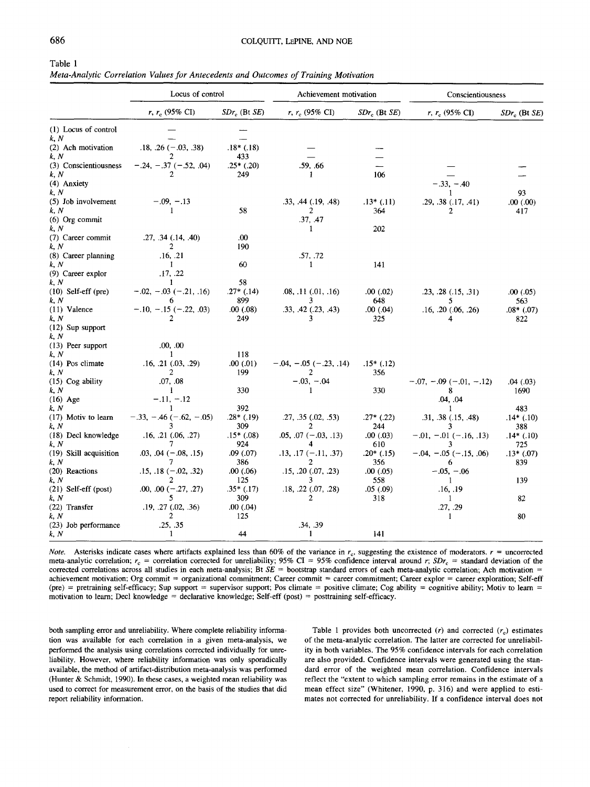| Table 1                                                                              |  |
|--------------------------------------------------------------------------------------|--|
| Meta-Analytic Correlation Values for Antecedents and Outcomes of Training Motivation |  |

|                                                       | Locus of control                                       |                                 | Achievement motivation                                 |                                 | Conscientiousness                             |                       |
|-------------------------------------------------------|--------------------------------------------------------|---------------------------------|--------------------------------------------------------|---------------------------------|-----------------------------------------------|-----------------------|
|                                                       | $r, r_c$ (95% CI)                                      | $SDr_c$ (Bt $SE$ )              | $r, r_c$ (95% CI)                                      | $SDr_c$ (Bt $SE$ )              | $r, r_c$ (95% CI)                             | $SDr_c$ (Bt $SE$ )    |
| (1) Locus of control<br>k, N                          |                                                        |                                 |                                                        |                                 |                                               |                       |
| (2) Ach motivation<br>k, N                            | $.18, .26 (-.03, .38)$<br>$\overline{2}$               | $.18*(.18)$<br>433              |                                                        |                                 |                                               |                       |
| (3) Conscientiousness<br>k, N                         | $-.24, -.37(-.52, .04)$                                | $.25*(.20)$<br>249              | .59, .66<br>$\mathbf{1}$                               | 106                             |                                               |                       |
| (4) Anxiety<br>k. N                                   |                                                        |                                 |                                                        |                                 | -.33. -.40<br>1                               | 93                    |
| (5) Job involvement<br>k, N                           | $-.09, -.13$<br>1                                      | 58                              | $.33, .44$ $(.19, .48)$<br>2                           | $.13*(.11)$<br>364              | $.29, .38$ $(.17, .41)$<br>2                  | .00(0.00)<br>417      |
| $(6)$ Org commit<br>k, N                              |                                                        | .00.                            | .37, .47<br>1                                          | 202                             |                                               |                       |
| (7) Career commit<br>k, N<br>(8) Career planning      | $.27, .34$ $(.14, .40)$<br>2<br>.16, .21               | 190                             | .57, .72                                               |                                 |                                               |                       |
| k, N<br>(9) Career explor                             | 1<br>.17, .22                                          | 60                              | 1                                                      | 141                             |                                               |                       |
| k, N<br>$(10)$ Self-eff (pre)                         | 1<br>$-.02, -.03 (-.21, .16)$                          | 58<br>$.27*(.14)$               | 08, 11(01, 16)                                         | .00(0.02)                       | $.23, .28$ $(.15, .31)$                       | .00(0.05)             |
| k, N<br>$(11)$ Valence                                | 6<br>$-.10, -.15 (-.22, .03)$                          | 899<br>.00(0.08)                | 3<br>$.33, .42$ $(.23, .43)$                           | 648<br>.00 (.04)                | 5<br>$.16, .20 \ (.06, .26)$                  | 563<br>$.08*$ $(.07)$ |
| k, N<br>$(12)$ Sup support                            | 2                                                      | 249                             | 3                                                      | 325                             | 4                                             | 822                   |
| k, N<br>$(13)$ Peer support<br>k, N                   | .00, .00<br>-1                                         | 118                             |                                                        |                                 |                                               |                       |
| $(14)$ Pos climate<br>k, N                            | $.16, .21$ $(.03, .29)$<br>$\overline{2}$              | .00(0.01)<br>199                | $-.04, -.05 (-.23, .14)$<br>$\overline{2}$             | $.15*(.12)$<br>356              |                                               |                       |
| $(15)$ Cog ability<br>k, N                            | .07, .08<br>1                                          | 330                             | $-.03, -.04$<br>1                                      | 330                             | $-.07, -.09(-.01, -.12)$<br>8                 | .04(0.03)<br>1690     |
| $(16)$ Age<br>k. N                                    | $-.11, -.12$<br>1                                      | 392                             |                                                        |                                 | .04, .04<br>-1                                | 483                   |
| (17) Motiv to learn<br>k, N                           | $-.33, -.46(-.62, -.05)$<br>3                          | $.28*(.19)$<br>309              | .27, .35, .02, .53)<br>$\mathbf{2}$                    | $.27*(.22)$<br>244              | $.31, .38$ $(.15, .48)$<br>3                  | $.14*(.10)$<br>388    |
| (18) Decl knowledge<br>k, N<br>(19) Skill acquisition | $.16, .21$ $(.06, .27)$<br>7<br>$.03, .04 (-.08, .15)$ | $.15*(.08)$<br>924<br>.09 (.07) | $.05, .07 (-.03, .13)$<br>4                            | .00(0.03)<br>610                | $-.01, -.01 (-.16, .13)$<br>3                 | $.14*(.10)$<br>725    |
| k, N<br>(20) Reactions                                | 7<br>$.15, .18 (-.02, .32)$                            | 386<br>.00 (.06)                | $.13, .17 (-.11, .37)$<br>2<br>$.15, .20$ $(.07, .23)$ | $.20*(.15)$<br>356<br>.00 (.05) | $-.04, -.05 (-.15, .06)$<br>6<br>$-.05, -.06$ | $.13*$ (.07)<br>839   |
| k, N<br>$(21)$ Self-eff (post)                        | $.00, .00 (-.27, .27)$                                 | 125<br>$.35*(.17)$              | 3<br>$.18, .22$ $(.07, .28)$                           | 558<br>.05(.09)                 | 1<br>.16, .19                                 | 139                   |
| k, N<br>(22) Transfer                                 | 5<br>.19, .27 (.02, .36)                               | 309<br>.00 (.04)                | 2                                                      | 318                             | 1<br>.27, .29                                 | 82                    |
| k, N<br>(23) Job performance<br>k, N                  | 2<br>.25, .35<br>1                                     | 125<br>44                       | .34, .39<br>1                                          | 141                             | 1                                             | 80                    |

*Note.* Asterisks indicate cases where artifacts explained less than 60% of the variance in  $r_c$ , suggesting the existence of moderators.  $r =$  uncorrected meta-analytic correlation;  $r_c$  = correlation corrected for unreliability; 95% CI = 95% confidence interval around r;  $SDr_c$  = standard deviation of the corrected correlations across all studies in each meta-analysis; Bt  $SE =$  bootstrap standard errors of each meta-analytic correlation; Ach motivation = achievement motivation; Org commit = organizational commitment; Career commit = career commitment; Career explor = career exploration; Self-eff (pre) = pretraining self-efficacy; Sup support = supervisor support; Pos climate = positive climate; Cog ability = cognitive ability; Motiv to learn = motivation to learn; Decl knowledge = declarative knowledge; Self-eff (post) = posttraining self-efficacy.

both sampling error and unreliability. Where complete reliability information was available for each correlation in a given meta-analysis, we performed the analysis using correlations corrected individually for unreliability. However, where reliability information was only sporadically available, the method of artifact-distribution meta-analysis was performed (Hunter & Schmidt, 1990). In these cases, a weighted mean reliability was used to correct for measurement error, on the basis of the studies that did report reliability information.

Table 1 provides both uncorrected  $(r)$  and corrected  $(r<sub>c</sub>)$  estimates of the meta-analytic correlation. The latter are corrected for unreliability in both variables. The 95% confidence intervals for each correlation are also provided. Confidence intervals were generated using the standard error of the weighted mean correlation. Confidence intervals reflect the "extent to which sampling error remains in the estimate of a mean effect size" (Whitener, 1990, p. 316) and were applied to estimates not corrected for unreliability. If a confidence interval does not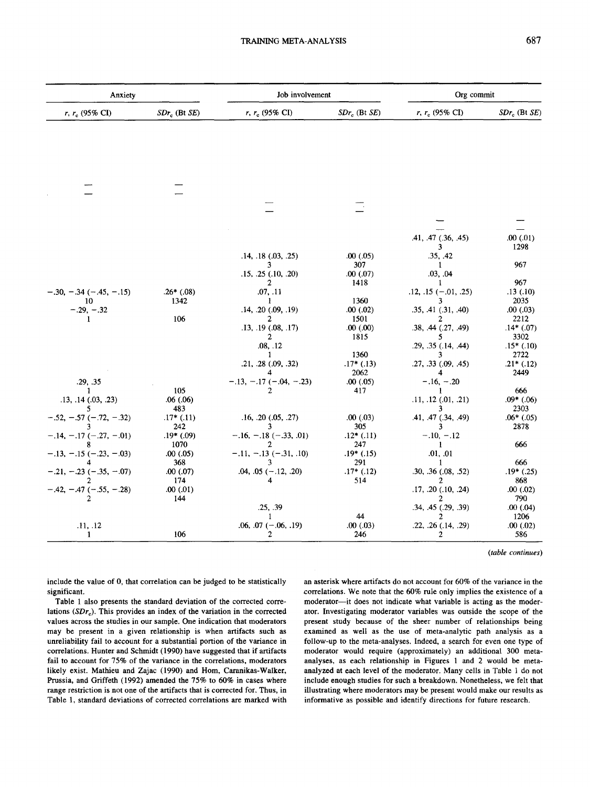| Anxiety                       |                                              | Job involvement               |                    | Org commit              |                     |
|-------------------------------|----------------------------------------------|-------------------------------|--------------------|-------------------------|---------------------|
| $r, r_c$ (95% CI)             | $\mathit{SDr}_\mathrm{c}$ (Bt $\mathit{SE})$ | $r, r_c$ (95% CI)             | $SDr_c$ (Bt $SE$ ) | $r, r_c$ (95% CI)       | $SDr_c$ (Bt $SE$ )  |
|                               |                                              |                               |                    |                         |                     |
|                               |                                              |                               |                    |                         |                     |
|                               |                                              |                               |                    |                         |                     |
|                               |                                              |                               |                    |                         |                     |
|                               |                                              |                               |                    |                         |                     |
|                               |                                              |                               |                    |                         |                     |
|                               |                                              |                               |                    | .41, .47 (.36, .45)     | .00(0.01)           |
|                               |                                              |                               |                    | 3                       | 1298                |
|                               |                                              | $.14, .18$ $(.03, .25)$<br>3  | .00(0.05)          | .35, .42                | 967                 |
|                               |                                              | .15, .25(.10, .20)            | 307<br>.00(0.07)   | 1<br>.03, .04           |                     |
|                               |                                              | 2                             | 1418               | 1                       | 967                 |
| $-.30, -.34 (-.45, -.15)$     | $.26*(.08)$                                  | .07, .11                      |                    | $.12, .15 (-.01, .25)$  | .13(.10)            |
| 10                            | 1342                                         | 1                             | 1360               |                         | 2035                |
| $-0.29, -0.32$                |                                              | $.14, .20$ $(.09, .19)$<br>2  | .00(0.02)          | .35, .41(.31, .40)      | .00(0.03)           |
|                               | 106                                          | $.13, .19$ $(.08, .17)$       | 1501<br>.00(0.00)  | .38, .44 (.27, .49)     | 2212<br>$.14*(.07)$ |
|                               |                                              | 2                             | 1815               |                         | 3302                |
|                               |                                              | .08, .12                      |                    | .29, .35 (.14, .44)     | $.15*(.10)$         |
|                               |                                              | 1                             | 1360               | 3                       | 2722                |
|                               |                                              | $.21, .28$ $(.09, .32)$       | $.17*(.13)$        | $.27, .33$ $(.09, .45)$ | $.21*(.12)$         |
| .29, .35                      |                                              | $-.13, -.17 (-.04, -.23)$     | 2062<br>.00(0.05)  | $-.16, -.20$            | 2449                |
| 1                             | 105                                          |                               | 417                | 1                       | 666                 |
| .13, .14 (.03, .23)           | .06(.06)                                     |                               |                    | $.11, .12$ $(.01, .21)$ | $.09*(.06)$         |
| 5.                            | 483                                          |                               |                    | 3                       | 2303                |
| $-.52, -.57 (-.72, -.32)$     | .17* (.11)                                   | $.16, .20 \ (.05, .27)$       | .00(0.03)          | .41, .47 (.34, .49)     | $.06*$ $(.05)$      |
|                               | 242<br>.19* (.09)                            | 3<br>$-.16, -.18 (-.33, .01)$ | 305<br>$.12*(.11)$ | 3<br>$-.10, -.12$       | 2878                |
| $-0.14, -0.17(-0.27, -0.01)$  | 1070                                         |                               | 247                | 1                       | 666                 |
| $-.13, -.15 (-.23, -.03)$     | .00(0.05)                                    | $-.11, -.13 (-.31, .10)$      | $.19*(.15)$        | .01, .01                |                     |
|                               | 368                                          |                               | 291                |                         | 666                 |
| $-0.21, -0.23 (-0.35, -0.07)$ | .00 (.07)                                    | .04, .05 $(-.12, .20)$        | $.17*(.12)$        | $.30, .36$ $(.08, .52)$ | $.19*(.25)$         |
|                               | 174<br>.00(0.01)                             |                               | 514                | $.17, .20$ $(.10, .24)$ | 868<br>.00(0.02)    |
| $-.42, -.47 (-.55, -.28)$     | 144                                          |                               |                    |                         | 790                 |
|                               |                                              | .25, .39                      |                    | .34, .45 (.29, .39)     | .00(0.04)           |
|                               |                                              | 1                             | 44                 | 2                       | 1206                |
| .11, .12                      |                                              | $.06, .07 (-.06, .19)$        | .00(0.03)          | $.22, .26$ $(.14, .29)$ | .00(0.02)           |
| $\mathbf{1}$                  | 106                                          | 2                             | 246                | 2                       | 586                 |

*(table continues)* 

include the value of 0, that correlation can be judged to be statistically significant.

Table 1 also presents the standard deviation of the corrected correlations  $(SDr<sub>c</sub>)$ . This provides an index of the variation in the corrected values across the studies in our sample. One indication that moderators may be present in a given relationship is when artifacts such as unreliability fail to account for a substantial portion of the variance in correlations. Hunter and Schmidt (1990) have suggested that if artifacts fail to account for 75% of the variance in the correlations, moderators likely exist. Mathieu and Zajac (1990) and Hom, Caranikas-Walker, Prussia, and Griffeth (1992) amended the 75% to 60% in cases where range restriction is not one of the artifacts that is corrected for. Thus, in Table 1, standard deviations of corrected correlations are marked with an asterisk where artifacts do not account for 60% of the variance in the correlations. We note that the 60% rule only implies the existence of a moderator---it does not indicate what variable is acting as the moderator. Investigating moderator variables was outside the scope of the present study because of the sheer number of relationships being examined as well as the use of meta-analytic path analysis as a follow-up to the meta-analyses. Indeed, a search for even one type of moderator would require (approximately) an additional 300 metaanalyses, as each relationship in Figures 1 and 2 would be metaanalyzed at each level of the moderator. Many cells in Table 1 do not include enough studies for such a breakdown. Nonetheless, we felt that illustrating where moderators may be present would make our results as informative as possible and identify directions for future research.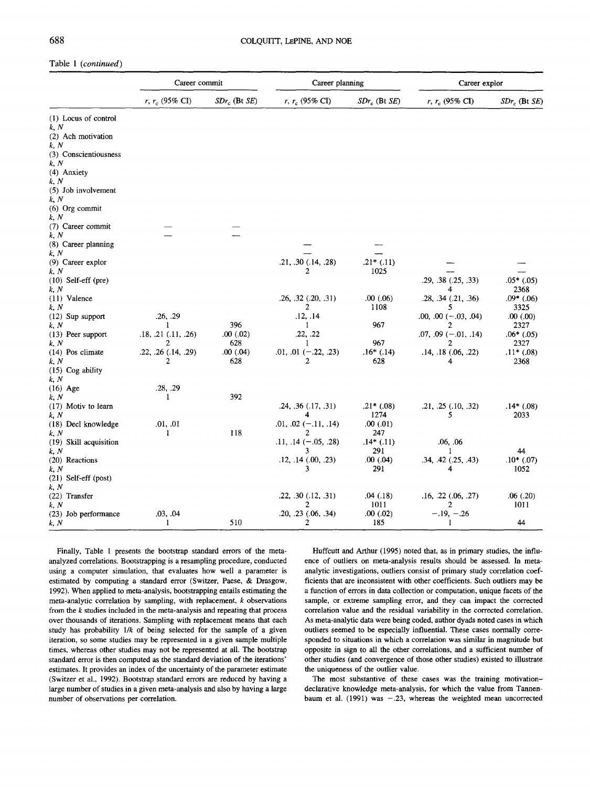#### Table 1 *(continued)*

|                        | Career commit           |                    | Career planning              |                    | Career explor                         |                    |
|------------------------|-------------------------|--------------------|------------------------------|--------------------|---------------------------------------|--------------------|
|                        | r, $r_c$ (95% CI)       | $SDr_c$ (Bt $SE$ ) | r, $r_c$ (95% CI)            | $SDr_c$ (Bt $SE$ ) | $r, r_c$ (95% CI)                     | $SDr_c$ (Bt $SE$ ) |
| (1) Locus of control   |                         |                    |                              |                    |                                       |                    |
| k, N                   |                         |                    |                              |                    |                                       |                    |
| (2) Ach motivation     |                         |                    |                              |                    |                                       |                    |
| k, N                   |                         |                    |                              |                    |                                       |                    |
| (3) Conscientiousness  |                         |                    |                              |                    |                                       |                    |
| k, N                   |                         |                    |                              |                    |                                       |                    |
| (4) Anxiety            |                         |                    |                              |                    |                                       |                    |
| k, N                   |                         |                    |                              |                    |                                       |                    |
| (5) Job involvement    |                         |                    |                              |                    |                                       |                    |
| k, N                   |                         |                    |                              |                    |                                       |                    |
| $(6)$ Org commit       |                         |                    |                              |                    |                                       |                    |
| k, N                   |                         |                    |                              |                    |                                       |                    |
| (7) Career commit      |                         |                    |                              |                    |                                       |                    |
| k, N                   |                         |                    |                              |                    |                                       |                    |
| (8) Career planning    |                         |                    |                              |                    |                                       |                    |
| k, N                   |                         |                    |                              |                    |                                       |                    |
| (9) Career explor      |                         |                    | .21, .30 (.14, .28)          | $.21*(.11)$        |                                       |                    |
| k, N                   |                         |                    | 2                            | 1025               |                                       |                    |
| $(10)$ Self-eff (pre)  |                         |                    |                              |                    | .29, .38 (.25, .33)                   | $.05*(.05)$        |
| k, N                   |                         |                    |                              |                    | 4                                     | 2368               |
| $(11)$ Valence         |                         |                    | $.26, .32$ $(.20, .31)$      | .00(0.06)          | .28, .34 (.21, .36)                   | $.09*(.06)$        |
| k, N                   |                         |                    | 2                            | 1108               | 5                                     | 3325               |
| $(12)$ Sup support     | .26, .29                |                    | .12, .14                     |                    | $.00, .00 (-.03, .04)$                | .00(0.00)          |
| k, N                   | 1                       | 396                | 1                            | 967                | 2                                     | 2327               |
| $(13)$ Peer support    | $.18, .21$ $(.11, .26)$ | .00 (.02)          | .22, .22                     |                    | $.07, .09 (-.01, .14)$                | $.06*(.05)$        |
| k, N                   | 2                       | 628                | $\mathbf{1}$                 | 967                | 2                                     | 2327               |
| $(14)$ Pos climate     | .22, .26(.14, .29)      | .00 (.04)          | $.01, .01 (-.22, .23)$       | $.16*(.14)$        | .14, .18 (.06, .22)                   | $.11*(.08)$        |
| k, N                   | 2                       | 628                | 2                            | 628                |                                       | 2368               |
| $(15)$ Cog ability     |                         |                    |                              |                    |                                       |                    |
| k, N                   |                         |                    |                              |                    |                                       |                    |
| $(16)$ Age             | .28, .29                |                    |                              |                    |                                       |                    |
| k, N                   | 1                       | 392                |                              |                    |                                       |                    |
| $(17)$ Motiv to learn  |                         |                    | .24, .36(.17, .31)           | $.21*(.08)$        | .21, .25, (.10, .32)                  | $.14*(.08)$        |
| k, N                   |                         |                    | 4                            | 1274               | 5                                     | 2033               |
| (18) Decl knowledge    | .01, .01                |                    | .01, .02 ( – .11, .14)       | .00(0.01)          |                                       |                    |
| k, N                   | 1                       | 118                | 2                            | 247                |                                       |                    |
| (19) Skill acquisition |                         |                    |                              | $.14*(.11)$        | .06, .06                              |                    |
| k, N                   |                         |                    | $.11, .14 (-.05, .28)$<br>3  | 291                | 1                                     | 44                 |
| (20) Reactions         |                         |                    | $.12, .14$ $(.00, .23)$      | .00 (.04)          | .34, .42 (.25, .43)                   | $.10*(.07)$        |
|                        |                         |                    | 3                            | 291                | 4                                     |                    |
| k, N                   |                         |                    |                              |                    |                                       | 1052               |
| $(21)$ Self-eff (post) |                         |                    |                              |                    |                                       |                    |
| k, N                   |                         |                    |                              |                    |                                       |                    |
| (22) Transfer          |                         |                    | $.22, .30$ $(.12, .31)$<br>2 | .04(0.18)          | .16, .22 (.06, .27)<br>$\overline{c}$ | .06(.20)           |
| k, N                   |                         |                    |                              | 1011               |                                       | 1011               |
| (23) Job performance   | .03, .04                | 510                | .20, .23, (.06, .34)         | .00(0.02)          | $-.19, -.26$                          |                    |
| k, N                   | 1                       |                    | 2                            | 185                | 1                                     | 44                 |

Finally, Table 1 presents the bootstrap standard errors of the metaanalyzed correlations. Bootstrapping is a resampling procedure, conducted using a computer simulation, that evaluates how well a parameter is estimated by computing a standard error (Switzer, Paese, & Drasgow, 1992). When applied to meta-analysis, bootstrapping entails estimating the meta-analytic correlation by sampling, with replacement,  $k$  observations from the  $k$  studies included in the meta-analysis and repeating that process over thousands of iterations. Sampling with replacement means that each study has probability *1/k* of being selected for the sample of a given iteration, so some studies may be represented in a given sample multiple times, whereas other studies may not be represented at all. The bootstrap standard error is then computed as the standard deviation of the iterations' estimates. It provides an index of the uncertainty of the parameter estimate (Switzer et al., 1992). Bootstrap standard errors are reduced by having a large number of studies in a given meta-analysis and also by having a large number of observations per correlation.

Huffcutt and Arthur (1995) noted that, as in primary studies, the influence of outliers on meta-analysis results should be assessed. In metaanalytic investigations, outliers consist of primary study correlation coefficients that are inconsistent with other coefficients. Such outliers may be a function of errors in data collection or computation, unique facets of the sample, or extreme sampling error, and they can impact the corrected correlation value and the residual variability in the corrected correlation. As meta-analytic data were being coded, author dyads noted cases in which outliers seemed to be especially influential. These cases normally corresponded to situations in which a correlation was similar in magnitude but opposite in sign to all the other correlations, and a sufficient number of other studies (and convergence of those other studies) existed to illustrate the uniqueness of the outlier value.

The most substantive of these cases was the training motivationdeclarative knowledge meta-analysis, for which the value from Tannenbaum et al. (1991) was  $-.23$ , whereas the weighted mean uncorrected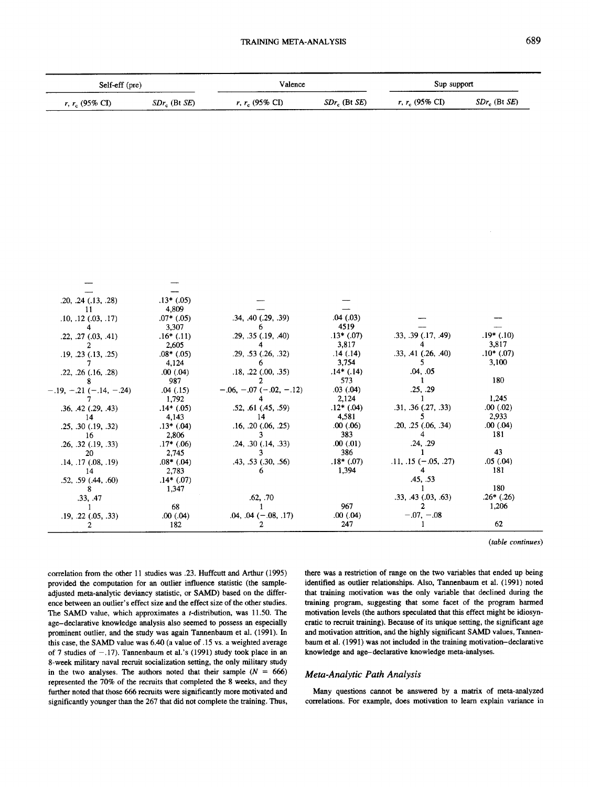| Self-eff (pre)            |                    | Valence          |                    | Sup support       |                    |
|---------------------------|--------------------|------------------|--------------------|-------------------|--------------------|
| r, r. $(95\% \text{ CI})$ | $SDr_c$ (Bt $SE$ ) | $r, r.$ (95% CI) | $SDr_c$ (Bt $SE$ ) | $r, r_c$ (95% CI) | $SDr_c$ (Bt $SE$ ) |

| $.20, .24$ $(.13, .28)$   | $.13*(.05)$  |                            |             |                         |             |
|---------------------------|--------------|----------------------------|-------------|-------------------------|-------------|
|                           | 4.809        |                            |             |                         |             |
| $.10, .12$ $(.03, .17)$   | $.07*(.05)$  | $.34, .40$ $(.29, .39)$    | .04(0.03)   |                         |             |
|                           | 3.307        |                            | 4519        |                         |             |
| .22, .27, .03, .41)       | $.16*(.11)$  | $.29, .35$ (.19, .40)      | $.13*(.07)$ | $.33, .39$ (.17, .49)   | $.19*(.10)$ |
|                           | 2.605        |                            | 3.817       |                         | 3.817       |
| .19, .23, .13, .25)       | $.08*(.05)$  | $.29, .53$ $(.26, .32)$    | .14(0.14)   | $.33, .41$ $(.26, .40)$ | $.10*(.07)$ |
|                           | 4.124        |                            | 3.754       |                         | 3,100       |
| $.22, .26$ $(.16, .28)$   | .00(.04)     | $.18, .22 \ (.00, .35)$    | $.14*(.14)$ | .04, .05                |             |
|                           | 987          |                            | 573         |                         | 180         |
| $-.19, -.21 (-.14, -.24)$ | .04(.15)     | $-.06, -.07 (-.02, -.12)$  | .03(0.04)   | .25. .29                |             |
|                           | 1.792        |                            | 2.124       |                         | 1,245       |
| $.36, .42$ $(.29, .43)$   | $.14*(.05)$  | $.52, .61$ (.45, .59)      | $.12*(.04)$ | $.31, .36$ (.27, .33)   | .00(0.02)   |
|                           | 4.143        | 14                         | 4.581       |                         | 2,933       |
| .25. .30(.19. .32)        | $.13*(.04)$  | $.16, .20 \cdot .06, .25)$ | .00(.06)    | .20, .25, (.06, .34)    | .00(0.04)   |
| -16                       | 2,806        |                            | 383         |                         | 181         |
| $.26, .32$ $(.19, .33)$   | $.17*$ (.06) | $.24, .30$ $(.14, .33)$    | .00(0.01)   | .24. .29                |             |
| 20.                       | 2.745        |                            | 386         |                         | 43          |
| $.14, .17$ $(.08, .19)$   | $.08*(.04)$  | $.43, .53$ $(.30, .56)$    | $.18*(.07)$ | $.11, .15 (-.05, .27)$  | .05(.04)    |
|                           | 2.783        |                            | 1.394       |                         | 181         |
| $.52, .59$ $(.44, .60)$   | $.14*(.07)$  |                            |             | .45, .53                |             |
|                           | 1.347        |                            |             |                         | 180         |
| .33, .47                  |              | .62, .70                   |             | $.33, .43$ $(.03, .63)$ | $.26*(.26)$ |
|                           | 68           |                            | 967         |                         | 1.206       |
| $.19, .22 \ (.05, .33)$   | .00(.04)     | $.04, .04 (-.08, .17)$     | .00(.04)    | $-.07, -.08$            |             |
|                           | 182          |                            | 247         |                         | 62          |

*(table continues)* 

correlation from the other 11 studies was .23. Huffcutt and Arthur (1995) provided the computation for an outlier influence statistic (the sampleadjusted meta-analytic deviancy statistic, or SAMD) based on the difference between an outlier's effect size and the effect size of the other studies. The SAMD value, which approximates a t-distribution, was 11.50. The age-declarative knowledge analysis also seemed to possess an especially prominent outlier, and the study was again Tannenbaum et al. (1991). In this case, the SAMD value was 6.40 (a value of .15 vs. a weighted average of 7 studies of  $-.17$ ). Tannenbaum et al.'s (1991) study took place in an 8-week military naval recruit socialization setting, the only military study in the two analyses. The authors noted that their sample  $(N = 666)$ represented the 70% of the recruits that completed the 8 weeks, and they further noted that those 666 recruits were significantly more motivated and significantly younger than the 267 that did not complete the training. Thus,

there was a restriction of range on the two variables that ended up being identified as outlier relationships. Also, Tannenbaum et al. (1991) noted that training motivation was the only variable that declined during the training program, suggesting that some facet of the program harmed motivation levels (the authors speculated that this effect might be idiosyncratic to recruit training). Because of its unique setting, the significant age and motivation attrition, and the highly significant SAMD values, Tannenbaum et al. (1991) was not included in the training motivation-declarative knowledge and age-declarative knowledge meta-analyses.

# *Meta-Analytic Path Analysis*

Many questions cannot be answered by a matrix of meta-analyzed correlations. For example, does motivation to learn explain variance in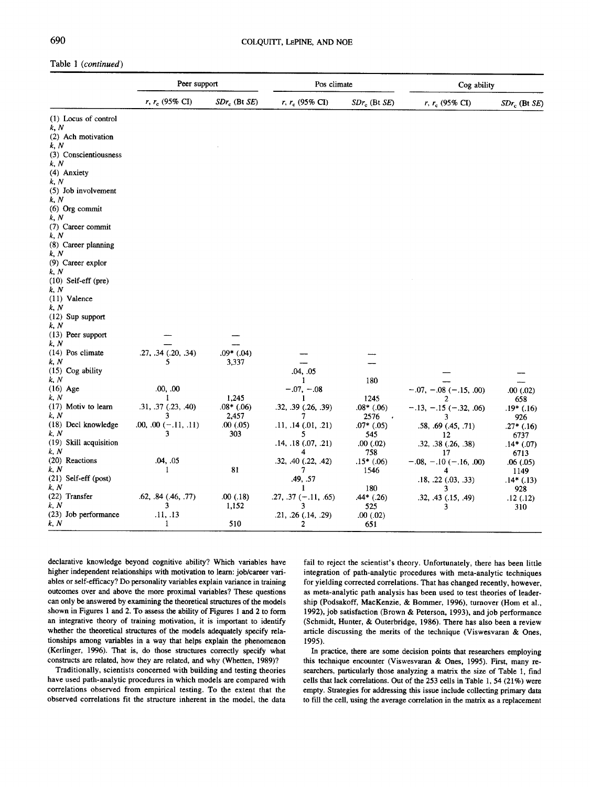# Table 1 *(continued)*

|                               | Peer support                 |                    | Pos climate             |                    | Cog ability              |                    |
|-------------------------------|------------------------------|--------------------|-------------------------|--------------------|--------------------------|--------------------|
|                               | $r, r_c$ (95% CI)            | $SDr_c$ (Bt $SE$ ) | $r, r_c$ (95% CI)       | $SDr_c$ (Bt $SE$ ) | $r, r_c$ (95% CI)        | $SDr_c$ (Bt $SE$ ) |
| (1) Locus of control          |                              |                    |                         |                    |                          |                    |
| k, N                          |                              |                    |                         |                    |                          |                    |
| (2) Ach motivation            |                              |                    |                         |                    |                          |                    |
| k, N                          |                              |                    |                         |                    |                          |                    |
| (3) Conscientiousness<br>k, N |                              |                    |                         |                    |                          |                    |
| (4) Anxiety                   |                              |                    |                         |                    |                          |                    |
| k, N                          |                              |                    |                         |                    |                          |                    |
| (5) Job involvement           |                              |                    |                         |                    |                          |                    |
| k, N                          |                              |                    |                         |                    |                          |                    |
| (6) Org commit                |                              |                    |                         |                    |                          |                    |
| k, N                          |                              |                    |                         |                    |                          |                    |
| (7) Career commit             |                              |                    |                         |                    |                          |                    |
| k, N                          |                              |                    |                         |                    |                          |                    |
| (8) Career planning           |                              |                    |                         |                    |                          |                    |
| k, N                          |                              |                    |                         |                    |                          |                    |
| (9) Career explor             |                              |                    |                         |                    |                          |                    |
| k, N                          |                              |                    |                         |                    |                          |                    |
| $(10)$ Self-eff (pre)         |                              |                    |                         |                    |                          |                    |
| k, N                          |                              |                    |                         |                    |                          |                    |
| $(11)$ Valence                |                              |                    |                         |                    |                          |                    |
| k, N                          |                              |                    |                         |                    |                          |                    |
| $(12)$ Sup support            |                              |                    |                         |                    |                          |                    |
| k, N                          |                              |                    |                         |                    |                          |                    |
| (13) Peer support             |                              |                    |                         |                    |                          |                    |
| k, N                          |                              |                    |                         |                    |                          |                    |
| $(14)$ Pos climate            | $.27, .34$ $(.20, .34)$<br>5 | $.09*(.04)$        |                         |                    |                          |                    |
| k, N<br>$(15)$ Cog ability    |                              | 3,337              |                         |                    |                          |                    |
| k, N                          |                              |                    | .04, .05<br>1           | 180                |                          |                    |
| $(16)$ Age                    | .00, .00                     |                    | $-.07, -.08$            |                    | $-.07, -.08 (-.15, .00)$ |                    |
| k, N                          | 1                            | 1,245              | 1.                      | 1245               | 2                        | .00(0.02)          |
| $(17)$ Motiv to learn         | .31, .37 (.23, .40)          | $.08*(.06)$        | .32, .39 (.26, .39)     | $.08*(.06)$        | $-.13, -.15 (-.32, .06)$ | 658<br>$.19*(.16)$ |
| k, N                          | 3                            | 2,457              | 7                       | 2576               | 3                        | 926                |
| (18) Decl knowledge           | $.00, .00 (-.11, .11)$       | .00(0.05)          | .11, .14 (.01, .21)     | $.07*$ $(.05)$     | .58, .69 (.45, .71)      | $.27*(.16)$        |
| k, N                          | 3                            | 303                | 5                       | 545                | 12                       | 6737               |
| (19) Skill acquisition        |                              |                    | $.14, .18$ $(.07, .21)$ | .00 (.02)          | .32, .38 (.26, .38)      | $.14*(.07)$        |
| k. N                          |                              |                    | 4                       | 758                | 17                       | 6713               |
| (20) Reactions                | .04, .05                     |                    | $.32, .40$ $(.22, .42)$ | $.15*(.06)$        | $-.08, -.10(-.16, .00)$  | .06 (.05)          |
| k, N                          | $\mathbf{1}$                 | 81                 | 7                       | 1546               | 4                        | 1149               |
| $(21)$ Self-eff (post)        |                              |                    | .49, .57                |                    | $.18, .22$ $(.03, .33)$  | .14* (.13)         |
| k, N                          |                              |                    | 1                       | 180                | 3                        | 928                |
| (22) Transfer                 | $.62, .84$ $(.46, .77)$      | .00(0.18)          | $.27, .37(-.11, .65)$   | .44* (.26)         | .32, .43 (.15, .49)      | .12(.12)           |
| k, N                          | 3                            | 1,152              | 3                       | 525                | 3                        | 310                |
| (23) Job performance          | .11, .13                     |                    | .21, .26(.14, .29)      | .00(0.02)          |                          |                    |
| k, N                          | $\mathbf{1}$                 | 510                | 2                       | 651                |                          |                    |

declarative knowledge beyond cognitive ability? Which variables have higher independent relationships with motivation to learn: job/career variables or self-efficacy? Do personality variables explain variance in training outcomes over and above the more proximal variables? These questions can only be answered by examining the theoretical structures of the models shown in Figures 1 and 2. To assess the ability of Figures 1 and 2 to form an integrative theory of training motivation, it is important to identify whether the theoretical structures of the models adequately specify relationships among variables in a way that helps explain the phenomenon (Kerlinger, 1996). That is, do those structures correctly specify what constructs are related, how they are related, and why (Whetten, 1989)?

Traditionally, scientists concerned with building and testing theories have used path-analytic procedures in which models are compared with correlations observed from empirical testing. To the extent that the observed correlations fit the structure inherent in the model, the data fail to reject the scientist's theory. Unfortunately, there has been little integration of path-analytic procedures with meta-analytic techniques for yielding corrected correlations. That has changed recently, however, as meta-analytic path analysis has been used to test theories of leadership (Podsakoft, MacKenzie, & Bommer, 1996), turnover (Homet al., 1992), job satisfaction (Brown & Peterson, 1993), and job performance (Schmidt, Hunter, & Outerbridge, 1986). There has also been a review article discussing the merits of the technique (Viswesvaran & Ones, 1995).

In practice, there are some decision points that researchers employing this technique encounter (Viswesvaran & Ones, 1995). First, many researchers, particularly those analyzing a matrix the size of Table I, find cells that lack correlations. Out of the 253 cells in Table 1, 54 (21%) were empty. Strategies for addressing this issue include collecting primary data to fill the cell, using the average correlation in the matrix as a replacement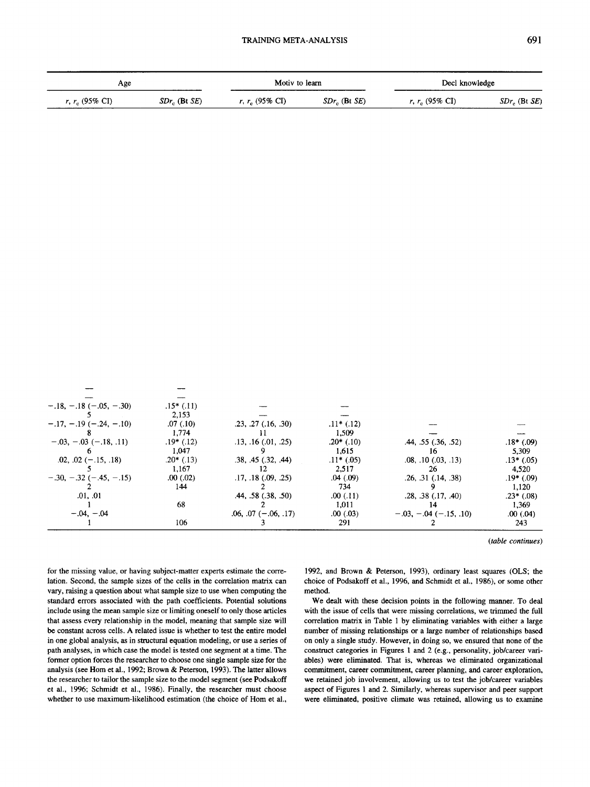| Age               |                    | Motiv to learn    |                    | Decl knowledge                            |                    |
|-------------------|--------------------|-------------------|--------------------|-------------------------------------------|--------------------|
| $r, r_c$ (95% CI) | $SDr$ . (Bt $SE$ ) | $r, r_c$ (95% CI) | $SDr_c$ (Bt $SE$ ) | r, r. $(95\% \text{ CI})$<br>____________ | $SDr_c$ (Bt $SE$ ) |

| $-.18, -.18 (-.05, -.30)$ | $.15*(.11)$ |                         |             |                          |             |
|---------------------------|-------------|-------------------------|-------------|--------------------------|-------------|
|                           | 2.153       |                         |             |                          |             |
| $-.17, -.19 (-.24, -.10)$ | .07(0.10)   | .23, .27, .16, .30)     | $.11*(.12)$ |                          |             |
|                           | 1.774       |                         | 1.509       |                          |             |
| $-.03, -.03 (-.18, .11)$  | $.19*(.12)$ | $.13, .16$ $(.01, .25)$ | $.20*(.10)$ | $.44, .55$ $(.36, .52)$  | $.18*(.09)$ |
|                           | 1.047       |                         | 1.615       |                          | 5,309       |
| $.02, .02 (-.15, .18)$    | $.20*(.13)$ | $.38, .45$ $(.32, .44)$ | $.11*(.05)$ | $.08, .10$ $(.03, .13)$  | $.13*(.05)$ |
|                           | 1.167       |                         | 2.517       |                          | 4,520       |
| $-.30, -.32 (-.45, -.15)$ | .00(.02)    | .17, .18(.09, .25)      | .04(.09)    | $.26, .31$ $(.14, .38)$  | $.19*(.09)$ |
|                           | 144         |                         | 734         |                          | 1.120       |
| .01. .01                  |             | $.44, .58$ $(.38, .50)$ | .00(0.11)   | $.28, .38$ $(.17, .40)$  | $.23*(.08)$ |
|                           | 68          |                         | 1.011       |                          | 1.369       |
| $-.04, -.04$              |             | $.06, .07 (-.06, .17)$  | .00(0.03)   | $-.03, -.04 (-.15, .10)$ | .00(0.04)   |
|                           | 106         |                         | 291         |                          | 243         |

*(table continues)* 

for the missing value, or having subject-matter experts estimate the correlation. Second, the sample sizes of the cells in the correlation matrix can vary, raising a question about what sample size to use when computing the standard errors associated with the path coefficients. Potential solutions include using the mean sample size or limiting oneself to only those articles that assess every relationship in the model, meaning that sample size will be constant across cells. A related issue is whether to test the entire model in one global analysis, as in structural equation modeling, or use a series of path analyses, in which case the model is tested one segment at a time. The former option forces the researcher to choose one single sample size for the analysis (see Homet al., 1992; Brown & Peterson, 1993). The latter allows the researcher to tailor the sample size to the model segment (see Podsakoff et al., 1996; Schmidt et al., 1986). Finally, the researcher must choose whether to use maximum-likelihood estimation (the choice of Homet al.,

1992, and Brown & Peterson, 1993), ordinary least squares (OLS; the choice of Podsakoff et al., 1996, and Schmidt et al., 1986), or some other method.

We dealt with these decision points in the following manner. To deal with the issue of cells that were missing correlations, we trimmed the full correlation matrix in Table 1 by eliminating variables with either a large number of missing relationships or a large number of relationships based on only a single study. However, in doing so, we ensured that none of the construct categories in Figures 1 and 2 (e.g., personality, job/career variables) were eliminated. That is, whereas we eliminated organizational commitment, career commitment, career planning, and career exploration, we retained job involvement, allowing us to test the job/career variables aspect of Figures 1 and 2. Similarly, whereas supervisor and peer support were eliminated, positive climate was retained, allowing us to examine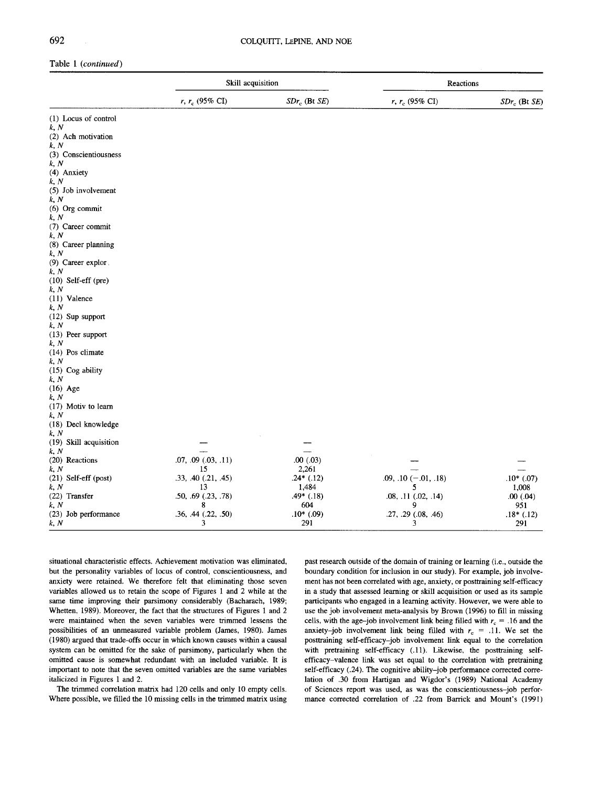#### Table 1 *(continued)*

|                        | Skill acquisition       |                    | Reactions              |                    |  |
|------------------------|-------------------------|--------------------|------------------------|--------------------|--|
|                        | $r, r_c$ (95% CI)       | $SDr_c$ (Bt $SE$ ) | r, $r_c$ (95% CI)      | $SDr_c$ (Bt $SE$ ) |  |
| (1) Locus of control   |                         |                    |                        |                    |  |
| k, N                   |                         |                    |                        |                    |  |
| (2) Ach motivation     |                         |                    |                        |                    |  |
| k, N                   |                         |                    |                        |                    |  |
| (3) Conscientiousness  |                         |                    |                        |                    |  |
| k, N                   |                         |                    |                        |                    |  |
| (4) Anxiety            |                         |                    |                        |                    |  |
| k, N                   |                         |                    |                        |                    |  |
| (5) Job involvement    |                         |                    |                        |                    |  |
| k, N                   |                         |                    |                        |                    |  |
| (6) Org commit         |                         |                    |                        |                    |  |
| k, N                   |                         |                    |                        |                    |  |
| (7) Career commit      |                         |                    |                        |                    |  |
| k, N                   |                         |                    |                        |                    |  |
| (8) Career planning    |                         |                    |                        |                    |  |
| k, N                   |                         |                    |                        |                    |  |
| (9) Career explor.     |                         |                    |                        |                    |  |
| k, N                   |                         |                    |                        |                    |  |
| $(10)$ Self-eff (pre)  |                         |                    |                        |                    |  |
| k, N                   |                         |                    |                        |                    |  |
| $(11)$ Valence         |                         |                    |                        |                    |  |
| k, N                   |                         |                    |                        |                    |  |
| (12) Sup support       |                         |                    |                        |                    |  |
| k, N                   |                         |                    |                        |                    |  |
| (13) Peer support      |                         |                    |                        |                    |  |
| k, N                   |                         |                    |                        |                    |  |
| (14) Pos climate       |                         |                    |                        |                    |  |
| k, N                   |                         |                    |                        |                    |  |
| (15) Cog ability       |                         |                    |                        |                    |  |
| k, N                   |                         |                    |                        |                    |  |
| $(16)$ Age             |                         |                    |                        |                    |  |
| k, N                   |                         |                    |                        |                    |  |
| (17) Motiv to learn    |                         |                    |                        |                    |  |
| k, N                   |                         |                    |                        |                    |  |
| (18) Decl knowledge    |                         |                    |                        |                    |  |
| k, N                   |                         |                    |                        |                    |  |
| (19) Skill acquisition |                         |                    |                        |                    |  |
| k, N                   |                         |                    |                        |                    |  |
| (20) Reactions         | $.07, .09$ $(.03, .11)$ | .00(0.03)          |                        |                    |  |
| k, N                   | 15                      | 2,261              |                        |                    |  |
| (21) Self-eff (post)   | .33, .40 $(.21, .45)$   | $.24*(.12)$        | .09, .10 $(-.01, .18)$ | $.10*(.07)$        |  |
| k, N                   | 13                      | 1,484              | 5                      | 1,008              |  |
| (22) Transfer          | .50, .69 (.23, .78)     | $.49*(.18)$        | .08, .11(.02, .14)     | .00(0.04)          |  |
| k, N                   | 8                       | 604                | 9                      | 951                |  |
| (23) Job performance   | $.36, .44$ $(.22, .50)$ | $.10*(.09)$        | .27, .29 (.08, .46)    | $.18*(.12)$        |  |
| k, N                   | 3                       | 291                | 3                      | 291                |  |
|                        |                         |                    |                        |                    |  |

situational characteristic effects. Achievement motivation was eliminated, but the personality variables of locus of control, conscientiousness, and anxiety were retained. We therefore felt that eliminating those seven variables allowed us to retain the scope of Figures 1 and 2 while at the same time improving their parsimony considerably (Bacharach, 1989; Whetten, 1989). Moreover, the fact that the structures of Figures 1 and 2 were maintained when the seven variables were trimmed lessens the possibilities of an unmeasured variable problem (James, 1980). James (1980) argued that trade-offs occur in which known causes within a causal system can be omitted for the sake of parsimony, particularly when the omitted cause is somewhat redundant with an included variable. It is important to note that the seven omitted variables are the same variables italicized in Figures 1 and 2.

The trimmed correlation matrix had 120 cells and only 10 empty cells. Where possible, we filled the 10 missing cells in the trimmed matrix using

past research outside of the domain of training or learning (i.e., outside the boundary condition for inclusion in our study). For example, job involvement has not been correlated with age, anxiety, or posttraining self-efficacy in a study that assessed learning or skill acquisition or used as its sample participants who engaged in a learning activity. However, we were able to use the job involvement meta-analysis by Brown (1996) to fill in missing cells, with the age-job involvement link being filled with  $r_c = .16$  and the anxiety-job involvement link being filled with  $r_c = .11$ . We set the posttraining self-efficacy-job involvement link equal to the correlation with pretraining self-efficacy (.11). Likewise, the posttraining selfefficacy-valence link was set equal to the correlation with pretraining self-efficacy (.24). The cognitive ability-job performance corrected correlation of .30 from Hartigan and Wigdor's (1989) National Academy of Sciences report was used, as was the conscientiousness-job performance corrected correlation of .22 from Barrick and Mount's (1991)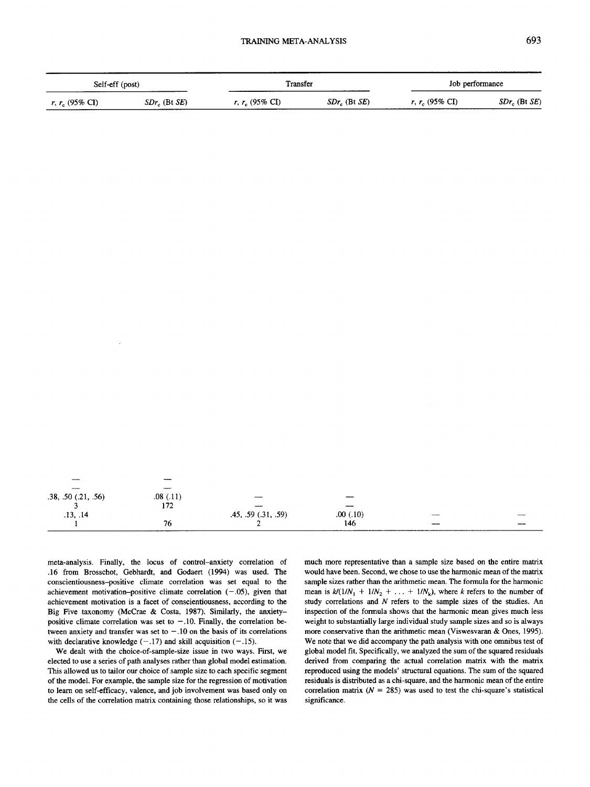| Self-eff (post)           |                    | Transfer          |                    | Job performance |                    |  |
|---------------------------|--------------------|-------------------|--------------------|-----------------|--------------------|--|
| r, r. $(95\% \text{ CI})$ | $SDr$ . (Bt $SE$ ) | $r, r$ , (95% CI) | $SDr_c$ (Bt $SE$ ) | r, r. (95% CI)  | $SDr_c$ (Bt $SE$ ) |  |

| $\overline{\phantom{a}}$ |          |                    |          |                          |  |
|--------------------------|----------|--------------------|----------|--------------------------|--|
|                          |          |                    |          |                          |  |
| .38, .50(.21, .56)       | .08(.11) |                    |          |                          |  |
|                          | 172      | ----               | --       |                          |  |
| .13, .14                 |          | .45, .59(.31, .59) | .00(.10) |                          |  |
|                          | 76       |                    | 146      | $\overline{\phantom{a}}$ |  |
|                          |          |                    |          |                          |  |

meta-analysis. Finally, the locus of control-anxiety correlation of .16 from Brosschot, Gebhardt, and Godaert (1994) was used. The conscientiousness-positive climate correlation was set equal to the achievement motivation-positive climate correlation  $(-.05)$ , given that achievement motivation is a facet of conscientiousness, according to the Big Five taxonomy (McCrae & Costa, 1987). Similarly, the anxietypositive climate correlation was set to  $-.10$ . Finally, the correlation between anxiety and transfer was set to  $-.10$  on the basis of its correlations with declarative knowledge  $(-.17)$  and skill acquisition  $(-.15)$ .

We dealt with the choice-of-sample-size issue in two ways. First, we elected to use a series of path analyses rather than global model estimation. This allowed us to tailor our choice of sample size to each specific segment of the model. For example, the sample size for the regression of motivation to learn on self-efticacy, valence, and job involvement was based only on the cells of the correlation matrix containing those relationships, so it was

much more representative than a sample size based on the entire matrix would have been. Second, we chose to use the harmonic mean of the matrix sample sizes rather than the arithmetic mean. The formula for the harmonic mean is  $k/(1/N_1 + 1/N_2 + \ldots + 1/N_k)$ , where k refers to the number of study correlations and  $N$  refers to the sample sizes of the studies. An inspection of the formula shows that the harmonic mean gives much less weight to substantially large individual study sample sizes and so is always more conservative than the arithmetic mean (Viswesvaran & Ones, 1995). We note that we did accompany the path analysis with one omnibus test of global model fit. Specifically, we analyzed the sum of the squared residuals derived from comparing the actual correlation matrix with the matrix reproduced using the models' structural equations. The sum of the squared residuals is distributed as a chi-square, and the harmonic mean of the entire correlation matrix ( $N = 285$ ) was used to test the chi-square's statistical significance.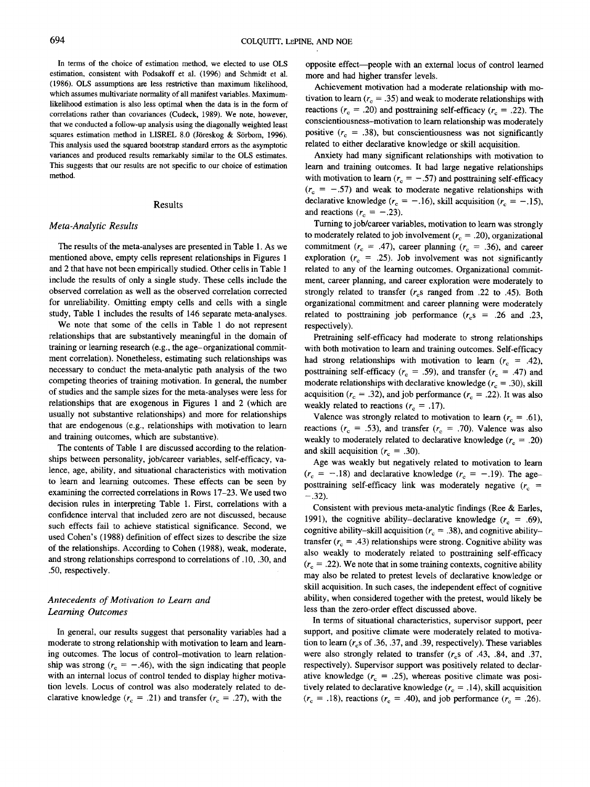In terms of the choice of estimation method, we elected to use OLS estimation, consistent with Podsakoff et al. (1996) and Schmidt et al. (1986). OLS assumptions are less restrictive than maximum likelihood, which assumes multivariate normality of all manifest variables. Maximumlikelihood estimation is also less optimal when the data is in the form of correlations rather than covariances (Cudeck, 1989). We note, however, that we conducted a follow-up analysis using the diagonally weighted least squares estimation method in LISREL 8.0 (Jöreskog & Sörbom, 1996). This analysis used the squared bootstrap standard errors as the asymptotic variances and produced results remarkably similar to the OLS estimates. This suggests that our results are not specific to our choice of estimation method.

#### Results

### *Meta-Analytic Results*

The results of the meta-analyses are presented in Table 1. As we mentioned above, empty cells represent relationships in Figures 1 and 2 that have not been empirically studied. Other cells in Table 1 include the results of only a single study. These cells include the observed correlation as well as the observed correlation corrected for unreliability. Omitting empty cells and cells with a single study, Table 1 includes the results of 146 separate meta-analyses.

We note that some of the cells in Table 1 do not represent relationships that are substantively meaningful in the domain of training or learning research (e.g., the age-organizational commitment correlation). Nonetheless, estimating such relationships was necessary to conduct the meta-analytic path analysis of the two competing theories of training motivation. In general, the number of studies and the sample sizes for the meta-analyses were less for relationships that are exogenous in Figures 1 and 2 (which are usually not substantive relationships) and more for relationships that are endogenous (e.g., relationships with motivation to learn and training outcomes, which are substantive).

The contents of Table 1 are discussed according to the relationships between personality, job/career variables, self-efficacy, valence, age, ability, and situational characteristics with motivation to learn and learning outcomes. These effects can be seen by examining the corrected correlations in Rows 17-23. We used two decision rules in interpreting Table 1. First, correlations with a confidence interval that included zero are not discussed, because such effects fail to achieve statistical significance. Second, we used Cohen's (1988) definition of effect sizes to describe the size of the relationships. According to Cohen (1988), weak, moderate, and strong relationships correspond to correlations of. 10, .30, and .50, respectively.

# *Antecedents of Motivation to Learn and Learning Outcomes*

In general, our results suggest that personality variables had a moderate to strong relationship with motivation to learn and learning outcomes. The locus of control-motivation to learn relationship was strong ( $r_c = -.46$ ), with the sign indicating that people with an internal locus of control tended to display higher motivation levels. Locus of control was also moderately related to declarative knowledge ( $r_c = .21$ ) and transfer ( $r_c = .27$ ), with the

opposite effect--people with an external locus of control learned more and had higher transfer levels.

Achievement motivation had a moderate relationship with motivation to learn ( $r_c = .35$ ) and weak to moderate relationships with reactions ( $r_c$  = .20) and posttraining self-efficacy ( $r_c$  = .22). The conscientiousness-motivation to learn relationship was moderately positive  $(r_c = .38)$ , but conscientiousness was not significantly related to either declarative knowledge or skill acquisition.

Anxiety had many significant relationships with motivation to learn and training outcomes. It had large negative relationships with motivation to learn ( $r_c = -.57$ ) and posttraining self-efficacy  $(r_c = -0.57)$  and weak to moderate negative relationships with declarative knowledge ( $r_c = -.16$ ), skill acquisition ( $r_c = -.15$ ), and reactions ( $r_c = -.23$ ).

Turning to job/career variables, motivation to learn was strongly to moderately related to job involvement ( $r_c = .20$ ), organizational commitment ( $r_c = .47$ ), career planning ( $r_c = .36$ ), and career exploration ( $r_c$  = .25). Job involvement was not significantly related to any of the learning outcomes. Organizational commitment, career planning, and career exploration were moderately to strongly related to transfer  $(r<sub>c</sub> s$  ranged from .22 to .45). Both organizational commitment and career planning were moderately related to posttraining job performance  $(r<sub>c</sub>s = .26$  and .23, respectively).

Pretraining self-efficacy had moderate to strong relationships with both motivation to learn and training outcomes. Self-efficacy had strong relationships with motivation to learn  $(r_c = .42)$ , posttraining self-efficacy ( $r_c = .59$ ), and transfer ( $r_c = .47$ ) and moderate relationships with declarative knowledge ( $r_c = .30$ ), skill acquisition ( $r_c = .32$ ), and job performance ( $r_c = .22$ ). It was also weakly related to reactions ( $r_c = .17$ ).

Valence was strongly related to motivation to learn  $(r_c = .61)$ , reactions ( $r_c = .53$ ), and transfer ( $r_c = .70$ ). Valence was also weakly to moderately related to declarative knowledge  $(r_c = .20)$ and skill acquisition ( $r_c = .30$ ).

Age was weakly but negatively related to motivation to learn  $(r_c = -.18)$  and declarative knowledge  $(r_c = -.19)$ . The ageposttraining self-efficacy link was moderately negative  $(r_c =$  $-32)$ 

Consistent with previous meta-analytic findings (Ree & Earles, 1991), the cognitive ability-declarative knowledge ( $r_c = .69$ ), cognitive ability-skill acquisition ( $r_c = .38$ ), and cognitive abilitytransfer ( $r_c = .43$ ) relationships were strong. Cognitive ability was also weakly to moderately related to posttraining self-efficacy  $(r_c = .22)$ . We note that in some training contexts, cognitive ability may also be related to pretest levels of declarative knowledge or skill acquisition. In such cases, the independent effect of cognitive ability, when considered together with the pretest, would likely be less than the zero-order effect discussed above.

In terms of situational characteristics, supervisor support, peer support, and positive climate were moderately related to motivation to learn  $(r<sub>c</sub> s$  of .36, .37, and .39, respectively). These variables were also strongly related to transfer  $(r<sub>c</sub> s$  of .43, .84, and .37, respectively). Supervisor support was positively related to declarative knowledge  $(r_c = .25)$ , whereas positive climate was positively related to declarative knowledge ( $r_c = .14$ ), skill acquisition  $(r_c = .18)$ , reactions  $(r_c = .40)$ , and job performance  $(r_c = .26)$ .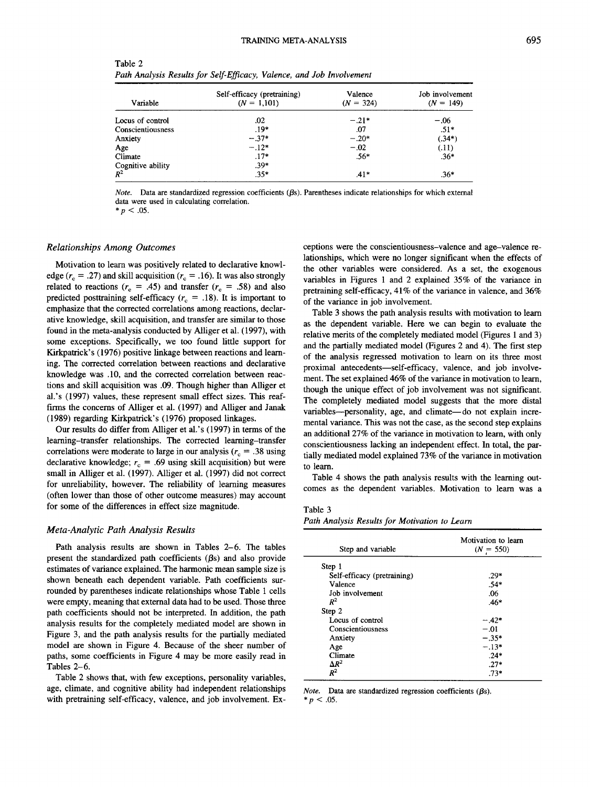|                         |                                              |                        | Job involvement<br>$(N = 149)$ |  |
|-------------------------|----------------------------------------------|------------------------|--------------------------------|--|
| Variable                | Self-efficacy (pretraining)<br>$(N = 1.101)$ | Valence<br>$(N = 324)$ |                                |  |
| Locus of control        | .02                                          | $-.21*$                | $-.06$                         |  |
| Conscientiousness       | $.19*$                                       | .07                    | $.51*$                         |  |
| Anxiety                 | $-.37*$                                      | $-.20*$                | $(.34*)$                       |  |
| Age                     | $-.12*$                                      | $-.02$                 | (.11)                          |  |
| Climate                 | $.17*$                                       | $.56*$                 | $.36*$                         |  |
|                         | $.39*$                                       |                        |                                |  |
| Cognitive ability $R^2$ | $.35*$                                       | $.41*$                 | .36*                           |  |

Table 2 *Path Analysis Results for Self-Efficacy, Valence, and Job Involvement* 

*Note.* Data are standardized regression coefficients  $(\beta s)$ . Parentheses indicate relationships for which external data were used in calculating correlation.

 $* p < .05$ .

# *Relationships Among Outcomes*

Motivation to learn was positively related to declarative knowledge ( $r_c$  = .27) and skill acquisition ( $r_c$  = .16). It was also strongly related to reactions ( $r_c$  = .45) and transfer ( $r_c$  = .58) and also predicted posttraining self-efficacy ( $r_c = .18$ ). It is important to emphasize that the corrected correlations among reactions, declarative knowledge, skill acquisition, and transfer are similar to those found in the meta-analysis conducted by Alliger et al. (1997), with some exceptions. Specifically, we too found little support for Kirkpatrick's (1976) positive linkage between reactions and learning. The corrected correlation between reactions and declarative knowledge was .10, and the corrected correlation between reactions and skill acquisition was .09. Though higher than Alliger et al.'s (1997) values, these represent small effect sizes. This reaffirms the concerns of Alliger et al. (1997) and Alliger and Janak (1989) regarding Kirkpatrick's (1976) proposed linkages.

Our results do differ from Alliger et al.'s (1997) in terms of the learning-transfer relationships. The corrected learning-transfer correlations were moderate to large in our analysis ( $r_c$  = .38 using declarative knowledge;  $r_c = .69$  using skill acquisition) but were small in Alliger et al. (1997). Alliger et al. (1997) did not correct for unreliability, however. The reliability of learning measures (often lower than those of other outcome measures) may account for some of the differences in effect size magnitude.

# *Meta-Analytic Path Analysis Results*

Path analysis results are shown in Tables 2-6. The tables present the standardized path coefficients  $(\beta s)$  and also provide estimates of variance explained. The harmonic mean sample size is shown beneath each dependent variable. Path coefficients surrounded by parentheses indicate relationships whose Table 1 cells were empty, meaning that external data had to be used. Those three path coefficients should not be interpreted. In addition, the path analysis results for the completely mediated model are shown in Figure 3, and the path analysis results for the partially mediated model are shown in Figure 4. Because of the sheer number of paths, some coefficients in Figure 4 may be more easily read in Tables 2-6.

Table 2 shows that, with few exceptions, personality variables, age, climate, and cognitive ability had independent relationships with pretraining self-efficacy, valence, and job involvement. Exceptions were the conscientiousness-valence and age-valence relationships, which were no longer significant when the effects of the other variables were considered. As a set, the exogenous variables in Figures 1 and 2 explained 35% of the variance in pretraining self-efficacy, 41% of the variance in valence, and 36% of the variance in job involvement.

Table 3 shows the path analysis results with motivation to learn as the dependent variable. Here we can begin to evaluate the relative merits of the completely mediated model (Figures 1 and 3) and the partially mediated model (Figures 2 and 4). The first step of the analysis regressed motivation to learn on its three most proximal antecedents-self-efficacy, valence, and job involvement. The set explained 46% of the variance in motivation to learn, though the unique effect of job involvement was not significant. The completely mediated model suggests that the more distal variables---personality, age, and climate--do not explain incremental variance. This was not the case, as the second step explains an additional 27% of the variance in motivation to learn, with only conscientiousness lacking an independent effect. In total, the partially mediated model explained 73% of the variance in motivation to learn.

Table 4 shows the path analysis results with the learning outcomes as the dependent variables. Motivation to learn was a

Table 3

*Path Analysis Results for Motivation to Learn* 

| Step and variable           | Motivation to learn<br>$(N = 550)$ |
|-----------------------------|------------------------------------|
| Step 1                      |                                    |
| Self-efficacy (pretraining) | $.29*$                             |
| Valence                     | $.54*$                             |
| Job involvement             | .06                                |
| $R^2$                       | $.46*$                             |
| Step 2                      |                                    |
| Locus of control            | $-42*$                             |
| Conscientiousness           | $-.01$                             |
| Anxiety                     | $-.35*$                            |
| Age                         | $-13*$                             |
| Climate                     | $.24*$                             |
| $\Delta R^2$                | $.27*$                             |
| $R^2$                       | $.73*$                             |
|                             |                                    |

*Note.* Data are standardized regression coefficients  $(\beta s)$ .  $* p < .05$ .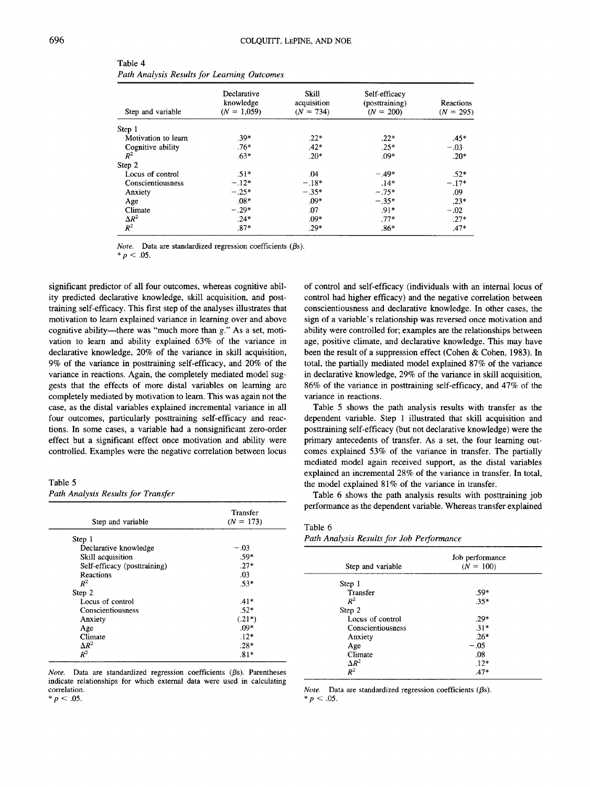| Table 4                                     |  |
|---------------------------------------------|--|
| Path Analysis Results for Learning Outcomes |  |

| Step and variable   | Declarative<br>knowledge<br>$(N = 1.059)$ | Skill<br>acquisition<br>$(N = 734)$ | Self-efficacy<br>(posttraining)<br>$(N = 200)$ | Reactions<br>$(N = 295)$ |
|---------------------|-------------------------------------------|-------------------------------------|------------------------------------------------|--------------------------|
| Step 1              |                                           |                                     |                                                |                          |
| Motivation to learn | $.39*$                                    | $.22*$                              | $.22*$                                         | $45*$                    |
| Cognitive ability   | $.76*$                                    | $.42*$                              | $.25*$                                         | $-.03$                   |
| $R^2$               | $.63*$                                    | $.20*$                              | $.09*$                                         | $.20*$                   |
| Step 2              |                                           |                                     |                                                |                          |
| Locus of control    | $.51*$                                    | .04                                 | $-49*$                                         | $.52*$                   |
| Conscientiousness   | $-.12*$                                   | $-.18*$                             | $14*$                                          | $-.17*$                  |
| Anxiety             | $-.25*$                                   | $-.35*$                             | $-.75*$                                        | .09                      |
| Age                 | $.08*$                                    | $.09*$                              | $-.35*$                                        | $.23*$                   |
| Climate             | $-.29*$                                   | .07                                 | $.91*$                                         | $-.02$                   |
| $\Delta R^2$        | $.24*$                                    | $.09*$                              | $.77*$                                         | $.27*$                   |
| $R^2$               | $.87*$                                    | $.29*$                              | $.86*$                                         | $.47*$                   |

*Note.* Data are standardized regression coefficients  $(\beta s)$ .

 $* p < .05.$ 

significant predictor of all four outcomes, whereas cognitive ability predicted declarative knowledge, skill acquisition, and posttraining self-efficacy. This first step of the analyses illustrates that motivation to learn explained variance in learning over and above cognitive ability—there was "much more than  $g$ ." As a set, motivation to learn and ability explained 63% of the variance in declarative knowledge, 20% of the variance in skill acquisition, 9% of the variance in posttraining self-efficacy, and 20% of the variance in reactions. Again, the completely mediated model suggests that the effects of more distal variables on learning are completely mediated by motivation to learn. This was again not the case, as the distal variables explained incremental variance in all four outcomes, particularly posttraining self-efficacy and reactions. In some cases, a variable had a nonsignificant zero-order effect but a significant effect once motivation and ability were controlled. Examples were the negative correlation between locus

Table 5 *Path Analysis Results for Transfer* 

| Step and variable            | Transfer<br>$(N = 173)$ |
|------------------------------|-------------------------|
| Step 1                       |                         |
| Declarative knowledge        | $-.03$                  |
| Skill acquisition            | $.59*$                  |
| Self-efficacy (posttraining) | $.27*$                  |
| <b>Reactions</b>             | .03                     |
| $R^2$                        | $.53*$                  |
| Step 2                       |                         |
| Locus of control             | $.41*$                  |
| Conscientiousness            | $.52*$                  |
| Anxiety                      | $(.21*)$                |
| Age                          | $.09*$                  |
| Climate                      | $.12*$                  |
| $\Delta R^2$                 | $.28*$                  |
| $R^2$                        | $.81*$                  |

*Note.* Data are standardized regression coefficients  $(\beta s)$ . Parentheses indicate relationships for which external data were used in calculating correlation.  $* p < .05$ .

of control and self-efficacy (individuals with an internal locus of control had higher efficacy) and the negative correlation between conscientiousness and declarative knowledge. In other cases, the sign of a variable's relationship was reversed once motivation and ability were controlled for; examples are the relationships between age, positive climate, and declarative knowledge. This may have been the result of a suppression effect (Cohen & Cohen, 1983). In total, the partially mediated model explained 87% of the variance in declarative knowledge, 29% of the variance in skill acquisition, 86% of the variance in posttraining self-efficacy, and 47% of the variance in reactions.

Table 5 shows the path analysis results with transfer as the dependent variable. Step 1 illustrated that skill acquisition and posttraining self-efficacy (but not declarative knowledge) were the primary antecedents of transfer. As a set, the four learning outcomes explained 53% of the variance in transfer. The partially mediated model again received support, as the distal variables explained an incremental 28% of the variance in transfer. In total, the model explained 81% of the variance in transfer.

Table 6 shows the path analysis results with posttraining job performance as the dependent variable. Whereas transfer explained

Table 6 *Path Analysis Results for Job Performance* 

| Step and variable | Job performance<br>$(N = 100)$ |  |
|-------------------|--------------------------------|--|
| Step 1            |                                |  |
| Transfer          | $.59*$                         |  |
| $R^2$             | $.35*$                         |  |
| Step 2            |                                |  |
| Locus of control  | $.29*$                         |  |
| Conscientiousness | $.31*$                         |  |
| Anxiety           | $.26*$                         |  |
| Age               | $-.05$                         |  |
| Climate           | .08                            |  |
| $\Delta R^2$      | $.12*$                         |  |
| $R^2$             | .47*                           |  |
|                   |                                |  |

*Note.* Data are standardized regression coefficients  $(\beta s)$ .  $* n < .05.$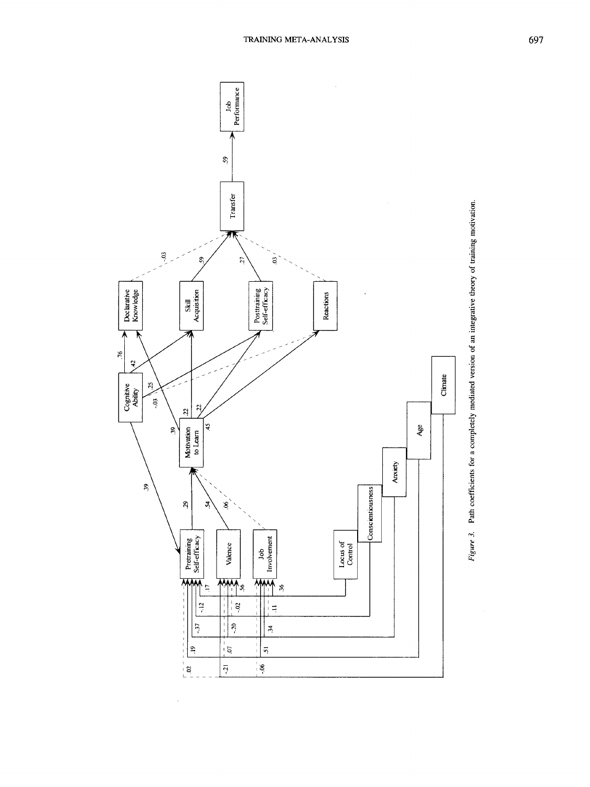

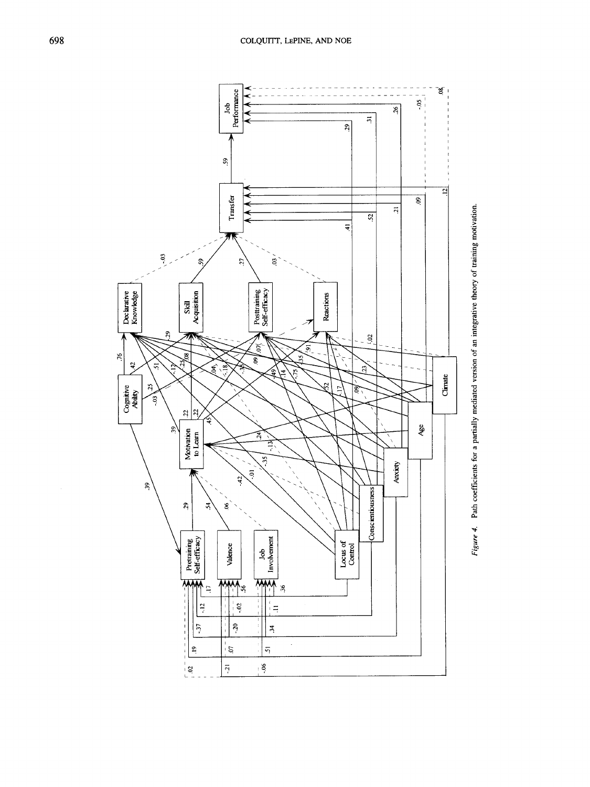

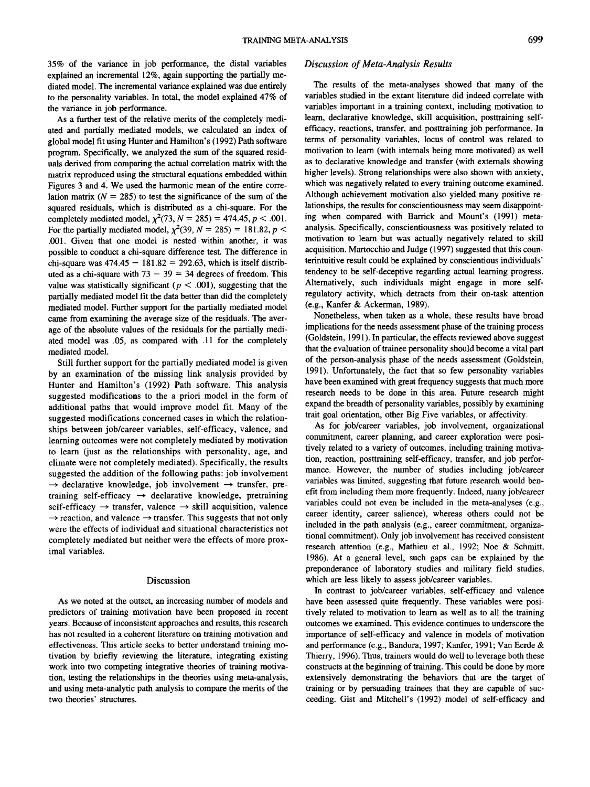35% of the variance in job performance, the distal variables explained an incremental 12%, again supporting the partially mediated model. The incremental variance explained was due entirely to the personality variables. In total, the model explained 47% of the variance in job performance.

As a further test of the relative merits of the completely mediated and partially mediated models, we calculated an index of global model fit using Hunter and Hamilton's (1992) Path software program. Specifically, we analyzed the sum of the squared residuals derived from comparing the actual correlation matrix with the matrix reproduced using the structural equations embedded within Figures 3 and 4. We used the harmonic mean of the entire correlation matrix ( $N = 285$ ) to test the significance of the sum of the squared residuals, which is distributed as a chi-square. For the completely mediated model,  $\chi^2(73, N = 285) = 474.45, p < .001$ . For the partially mediated model,  $\chi^2(39, N = 285) = 181.82, p <$ .001. Given that one model is nested within another, it was possible to conduct a chi-square difference test. The difference in chi-square was  $474.45 - 181.82 = 292.63$ , which is itself distributed as a chi-square with  $73 - 39 = 34$  degrees of freedom. This value was statistically significant ( $p < .001$ ), suggesting that the partially mediated model fit the data better than did the completely mediated model. Further support for the partially mediated model came from examining the average size of the residuals. The average of the absolute values of the residuals for the partially mediated model was .05, as compared with .11 for the completely mediated model.

Still further support for the partially mediated model is given by an examination of the missing link analysis provided by Hunter and Hamilton's (1992) Path software. This analysis suggested modifications to the a priori model in the form of additional paths that would improve model fit. Many of the suggested modifications concerned cases in which the relationships between job/career variables, self-efficacy, valence, and learning outcomes were not completely mediated by motivation to learn (just as the relationships with personality, age, and climate were not completely mediated). Specifically, the results suggested the addition of the following paths: job involvement  $\rightarrow$  declarative knowledge, job involvement  $\rightarrow$  transfer, pretraining self-efficacy  $\rightarrow$  declarative knowledge, pretraining self-efficacy  $\rightarrow$  transfer, valence  $\rightarrow$  skill acquisition, valence  $\rightarrow$  reaction, and valence  $\rightarrow$  transfer. This suggests that not only were the effects of individual and situational characteristics not completely mediated but neither were the effects of more proximal variables.

### Discussion

As we noted at the outset, an increasing number of models and predictors of training motivation have been proposed in recent years. Because of inconsistent approaches and results, this research has not resulted in a coherent literature on training motivation and effectiveness. This article seeks to better understand training motivation by briefly reviewing the literature, integrating existing work into two competing integrative theories of training motivation, testing the relationships in the theories using meta-analysis, and using meta-analytic path analysis to compare the merits of the two theories' structures.

# *Discussion of Meta-Analysis Results*

The results of the meta-analyses showed that many of the variables studied in the extant literature did indeed correlate with variables important in a training context, including motivation to learn, declarative knowledge, skill acquisition, posttraining selfefficacy, reactions, transfer, and posttraining job performance. In terms of personality variables, locus of control was related to motivation to learn (with internals being more motivated) as well as to declarative knowledge and transfer (with externals showing higher levels). Strong relationships were also shown with anxiety, which was negatively related to every training outcome examined. Although achievement motivation also yielded many positive relationships, the results for conscientiousness may seem disappointing when compared with Barrick and Mount's (1991) metaanalysis. Specifically, conscientiousness was positively related to motivation to learn but was actually negatively related to skill acquisition. Martocchio and Judge (1997) suggested that this counterintuitive result could be explained by conscientious individuals' tendency to be self-deceptive regarding actual learning progress. Alternatively, such individuals might engage in more selfregulatory activity, which detracts from their on-task attention (e.g., Kanfer & Ackerman, 1989).

Nonetheless, when taken as a whole, these results have broad implications for the needs assessment phase of the training process (Goldstein, 1991). In particular, the effects reviewed above suggest that the evaluation of trainee personality should become a vital part of the person-analysis phase of the needs assessment (Goldstein, 1991). Unfortunately, the fact that so few personality variables have been examined with great frequency suggests that much more research needs to be done in this area. Future research might expand the breadth of personality variables, possibly by examining trait goal orientation, other Big Five variables, or affectivity.

As for job/career variables, job involvement, organizational commitment, career planning, and career exploration were positively related to a variety of outcomes, including training motivation, reaction, posttraining self-efficacy, transfer, and job performance. However, the number of studies including job/career variables was limited, suggesting that future research would benefit from including them more frequently. Indeed, many job/career variables could not even be included in the meta-analyses (e.g., career identity, career salience), whereas others could not be included in the path analysis (e.g., career commitment, organizational commitment). Only job involvement has received consistent research attention (e.g., Mathieu et al., 1992; Noe & Schmitt, 1986). At a general level, such gaps can be explained by the preponderance of laboratory studies and military field studies, which are less likely to assess job/career variables.

In contrast to job/career variables, self-efficacy and valence have been assessed quite frequently. These variables were positively related to motivation to learn as well as to all the training outcomes we examined. This evidence continues to underscore the importance of self-efficacy and valence in models of motivation and performance (e.g., Bandura, 1997; Kanfer, 1991; Van Eerde & Thierry, 1996). Thus, trainers would do well to leverage both these constructs at the beginning of training. This could be done by more extensively demonstrating the behaviors that are the target of training or by persuading trainees that they are capable of succeeding. Gist and Mitchell's (1992) model of self-efficacy and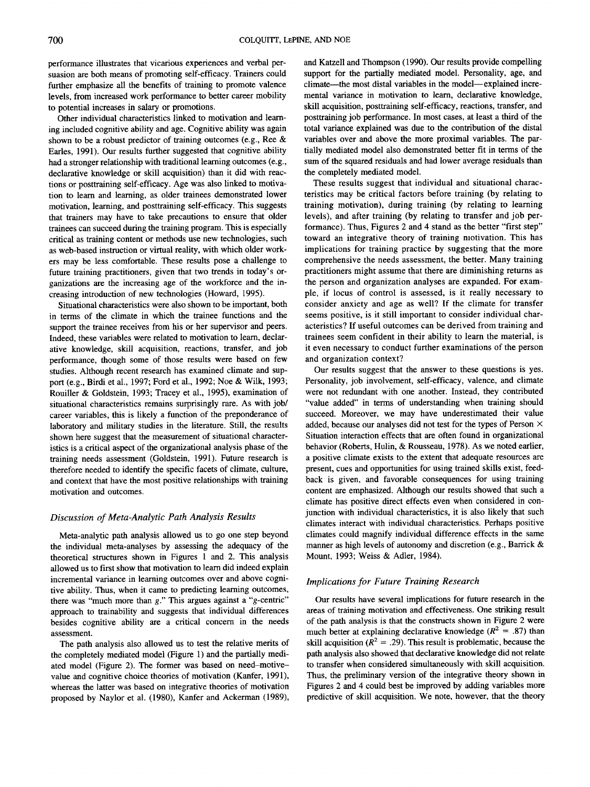performance illustrates that vicarious experiences and verbal persuasion are both means of promoting self-efficacy. Trainers could further emphasize all the benefits of training to promote valence levels, from increased work performance to better career mobility to potential increases in salary or promotions.

Other individual characteristics linked to motivation and learning included cognitive ability and age. Cognitive ability was again shown to be a robust predictor of training outcomes (e.g., Ree & Earles, 1991). Our results further suggested that cognitive ability had a stronger relationship with traditional learning outcomes (e.g., declarative knowledge or skill acquisition) than it did with reactions or posttraining self-efficacy. Age was also linked to motivation to learn and learning, as older trainees demonstrated lower motivation, learning, and posttraining self-efficacy. This suggests that trainers may have to take precautions to ensure that older trainees can succeed during the training program. This is especially critical as training content or methods use new technologies, such as web-based instruction or virtual reality, with which older workers may be less comfortable. These results pose a challenge to future training practitioners, given that two trends in today's organizations are the increasing age of the workforce and the increasing introduction of new technologies (Howard, 1995).

Situational characteristics were also shown to be important, both in terms of the climate in which the trainee functions and the support the trainee receives from his or her supervisor and peers. Indeed, these variables were related to motivation to learn, declarative knowledge, skill acquisition, reactions, transfer, and job performance, though some of those results were based on few studies. Although recent research has examined climate and support (e.g., Birdi et al., 1997; Ford et al., 1992; Noe & Wilk, 1993; Rouiller & Goldstein, 1993; Tracey et al., 1995), examination of situational characteristics remains surprisingly rare. As with job/ career variables, this is likely a function of the preponderance of laboratory and military studies in the literature. Still, the results shown here suggest that the measurement of situational characteristics is a critical aspect of the organizational analysis phase of the training needs assessment (Goldstein, 1991). Future research is therefore needed to identify the specific facets of climate, culture, and context that have the most positive relationships with training motivation and outcomes.

#### *Discussion of Meta-Analytic Path Analysis Results*

Meta-analytic path analysis allowed us to go one step beyond the individual meta-analyses by assessing the adequacy of the theoretical structures shown in Figures 1 and 2. This analysis allowed us to first show that motivation to learn did indeed explain incremental variance in learning outcomes over and above cognitive ability. Thus, when it came to predicting learning outcomes, there was "much more than g." This argues against a "g-centric" approach to trainability and suggests that individual differences besides cognitive ability are a critical concern in the needs assessment.

The path analysis also allowed us to test the relative merits of the completely mediated model (Figure 1) and the partially mediated model (Figure 2). The former was based on need-motivevalue and cognitive choice theories of motivation (Kanfer, 1991), whereas the latter was based on integrative theories of motivation proposed by Naylor et al. (1980), Kanfer and Ackerman (1989), and Katzell and Thompson (1990). Our results provide compelling support for the partially mediated model. Personality, age, and climate—the most distal variables in the model—explained incremental variance in motivation to learn, declarative knowledge, skill acquisition, posttraining self-efficacy, reactions, transfer, and posttraining job performance. In most cases, at least a third of the total variance explained was due to the contribution of the distal variables over and above the more proximal variables. The partially mediated model also demonstrated better fit in terms of the sum of the squared residuals and had lower average residuals than the completely mediated model.

These results suggest that individual and situational characteristics may be critical factors before training (by relating to training motivation), during training (by relating to learning levels), and after training (by relating to transfer and job performance). Thus, Figures 2 and 4 stand as the better "first step" toward an integrative theory of training motivation. This has implications for training practice by suggesting that the more comprehensive the needs assessment, the better. Many training practitioners might assume that there are diminishing returns as the person and organization analyses are expanded. For example, if locus of control is assessed, is it really necessary to consider anxiety and age as well? If the climate for transfer seems positive, is it still important to consider individual characteristics? If useful outcomes can be derived from training and trainees seem confident in their ability to learn the material, is it even necessary to conduct further examinations of the person and organization context?

Our results suggest that the answer to these questions is yes. Personality, job involvement, self-efficacy, valence, and climate were not redundant with one another. Instead, they contributed "value added" in terms of understanding when training should succeed. Moreover, we may have underestimated their value added, because our analyses did not test for the types of Person  $\times$ Situation interaction effects that are often found in organizational behavior (Roberts, Hulin, & Rousseau, 1978). As we noted earlier, a positive climate exists to the extent that adequate resources are present, cues and opportunities for using trained skills exist, feedback is given, and favorable consequences for using training content are emphasized. Although our results showed that such a climate has positive direct effects even when considered in conjunction with individual characteristics, it is also likely that such climates interact with individual characteristics. Perhaps positive climates could magnify individual difference effects in the same manner as high levels of autonomy and discretion (e.g., Barrick & Mount, 1993; Weiss & Adler, 1984).

#### *Implications for Future Training Research*

Our results have several implications for future research in the areas of training motivation and effectiveness. One striking result of the path analysis is that the constructs shown in Figure 2 were much better at explaining declarative knowledge ( $R<sup>2</sup> = .87$ ) than skill acquisition ( $R<sup>2</sup> = .29$ ). This result is problematic, because the path analysis also showed that declarative knowledge did not relate to transfer when considered simultaneously with skill acquisition. Thus, the preliminary version of the integrative theory shown in Figures 2 and 4 could best be improved by adding variables more predictive of skill acquisition. We note, however, that the theory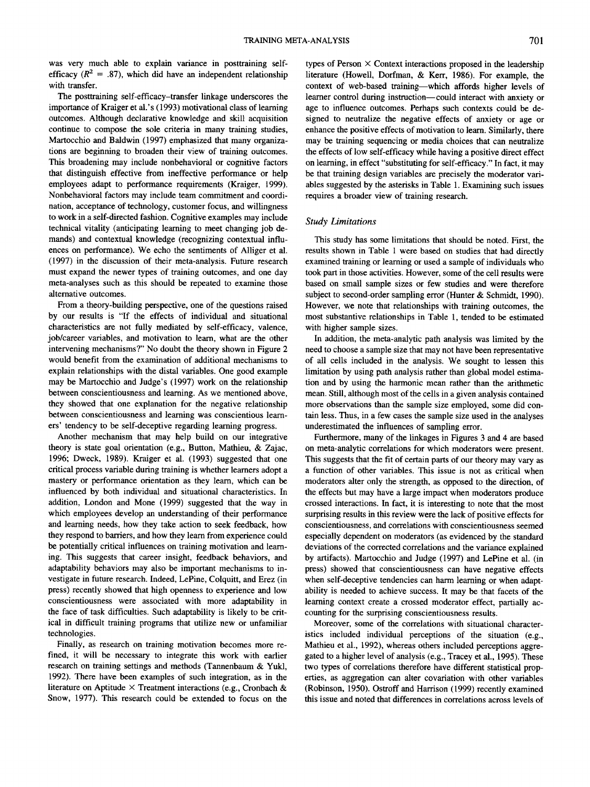was very much able to explain variance in posttraining selfefficacy ( $R^2 = .87$ ), which did have an independent relationship with transfer.

The posttraining self-efficacy-transfer linkage underscores the importance of Kraiger et al.'s (1993) motivational class of learning outcomes. Although declarative knowledge and skill acquisition continue to compose the sole criteria in many training studies, Martocchio and Baldwin (1997) emphasized that many organizations are beginning to broaden their view of training outcomes. This broadening may include nonbehavioral or cognitive factors that distinguish effective from ineffective performance or help employees adapt to performance requirements (Kraiger, 1999). Nonbehavioral factors may include team commitment and coordination, acceptance of technology, customer focus, and willingness to work in a self-directed fashion. Cognitive examples may include technical vitality (anticipating learning to meet changing job demands) and contextual knowledge (recognizing contextual influences on performance). We echo the sentiments of Alliger et al. (1997) in the discussion of their meta-analysis. Future research must expand the newer types of training outcomes, and one day meta-analyses such as this should be repeated to examine those alternative outcomes.

From a theory-building perspective, one of the questions raised by our results is "If the effects of individual and situational characteristics are not fully mediated by self-efficacy, valence, job/career variables, and motivation to learn, what are the other intervening mechanisms?" No doubt the theory shown in Figure 2 would benefit from the examination of additional mechanisms to explain relationships with the distal variables. One good example may be Martocchio and Judge's (1997) work on the relationship between conscientiousness and learning. As we mentioned above, they showed that one explanation for the negative relationship between conscientiousness and learning was conscientious learners' tendency to be self-deceptive regarding learning progress.

Another mechanism that may help build on our integrative theory is state goal orientation (e.g., Button, Mathieu, & Zajac, 1996; Dweck, 1989). Kraiger et al. (1993) suggested that one critical process variable during training is whether learners adopt a mastery or performance orientation as they learn, which can be influenced by both individual and situational characteristics. In addition, London and Mone (1999) suggested that the way in which employees develop an understanding of their performance and learning needs, how they take action to seek feedback, how they respond to barriers, and how they learn from experience could be potentially critical influences on training motivation and learning. This suggests that career insight, feedback behaviors, and adaptability behaviors may also be important mechanisms to investigate in future research. Indeed, LePine, Colquitt, and Erez (in press) recently showed that high openness to experience and low conscientiousness were associated with more adaptability in the face of task difficulties. Such adaptability is likely to be critical in difficult training programs that utilize new or unfamiliar technologies.

Finally, as research on training motivation becomes more refined, it will be necessary to integrate this work with earlier research on training settings and methods (Tannenbaum & Yukl, 1992). There have been examples of such integration, as in the literature on Aptitude  $\times$  Treatment interactions (e.g., Cronbach & Snow, 1977). This research could be extended to focus on the types of Person  $\times$  Context interactions proposed in the leadership literature (Howell, Dorfman, & Kerr, 1986). For example, the context of web-based training--which affords higher levels of learner control during instruction-could interact with anxiety or age to influence outcomes. Perhaps such contexts could be designed to neutralize the negative effects of anxiety or age or enhance the positive effects of motivation to learn. Similarly, there may be training sequencing or media choices that can neutralize the effects of low self-efficacy while having a positive direct effect on learning, in effect "substituting for self-efficacy." In fact, it may be that training design variables are precisely the moderator variables suggested by the asterisks in Table 1. Examining such issues requires a broader view of training research.

# *Study Limitations*

This study has some limitations that should be noted. First, the results shown in Table 1 were based on studies that had directly examined training or learning or used a sample of individuals who took part in those activities. However, some of the cell results were based on small sample sizes or few studies and were therefore subject to second-order sampling error (Hunter & Schmidt, 1990). However, we note that relationships with training outcomes, the most substantive relationships in Table l, tended to be estimated with higher sample sizes.

In addition, the meta-analytic path analysis was limited by the need to choose a sample size that may not have been representative of all cells included in the analysis. We sought to lessen this limitation by using path analysis rather than global model estimation and by using the harmonic mean rather than the arithmetic mean. Still, although most of the cells in a given analysis contained more observations than the sample size employed, some did contain less. Thus, in a few cases the sample size used in the analyses underestimated the influences of sampling error.

Furthermore, many of the linkages in Figures 3 and 4 are based on meta-analytic correlations for which moderators were present. This suggests that the fit of certain parts of our theory may vary as a function of other variables. This issue is not as critical when moderators alter only the strength, as opposed to the direction, of the effects but may have a large impact when moderators produce crossed interactions. In fact, it is interesting to note that the most surprising results in this review were the lack of positive effects for conscientiousness, and correlations with conscientiousness seemed especially dependent on moderators (as evidenced by the standard deviations of the corrected correlations and the variance explained by artifacts). Martocchio and Judge (1997) and LePine et al. (in press) showed that conscientiousness can have negative effects when self-deceptive tendencies can harm learning or when adaptability is needed to achieve success. It may be that facets of the learning context create a crossed moderator effect, partially accounting for the surprising conscientiousness results.

Moreover, some of the correlations with situational characteristics included individual perceptions of the situation (e.g., Mathieu et al., 1992), whereas others included perceptions aggregated to a higher level of analysis (e.g., Tracey et al., 1995). These two types of correlations therefore have different statistical properties, as aggregation can alter covariation with other variables (Robinson, 1950). Ostroff and Harrison (1999) recently examined this issue and noted that differences in correlations across levels of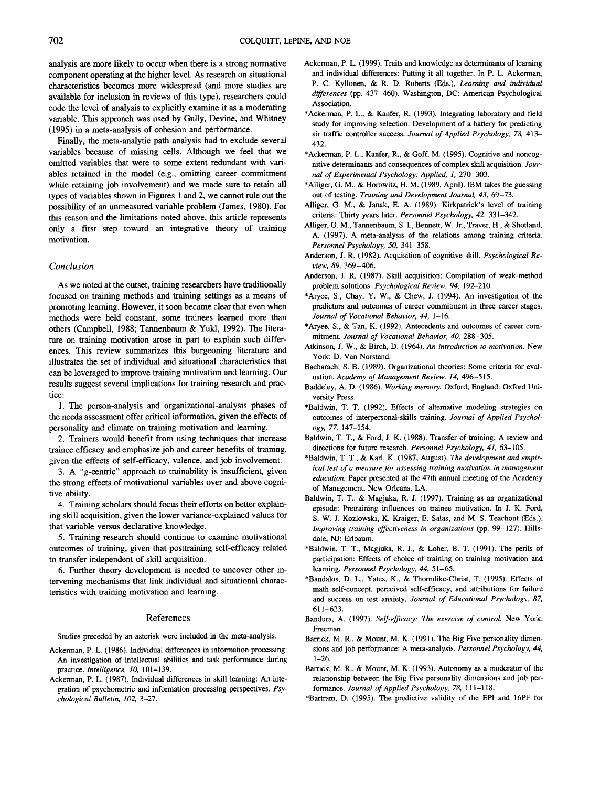analysis are more likely to occur when there is a strong normative component operating at the higher level. As research on situational characteristics becomes more widespread (and more studies are available for inclusion in reviews of this type), researchers could code the level of analysis to explicitly examine it as a moderating variable. This approach was used by Gully, Devine, and Whitney (1995) in a meta-analysis of cohesion and performance.

Finally, the meta-analytic path analysis had to exclude several variables because of missing cells. Although we feel that we omitted variables that were to some extent redundant with variables retained in the model (e.g., omitting career commitment while retaining job involvement) and we made sure to retain all types of variables shown in Figures 1 and 2, we cannot rule out the possibility of an unmeasured variable problem (James, 1980). For this reason and the limitations noted above, this article represents only a first step toward an integrative theory of training motivation.

# *Conclusion*

As we noted at the outset, training researchers have traditionally focused on training methods and training settings as a means of promoting learning. However, it soon became clear that even when methods were held constant, some trainees learned more than others (Campbell, 1988; Tannenbaum & Yukl, 1992). The literature on training motivation arose in part to explain such differences. This review summarizes this burgeoning literature and illustrates the set of individual and situational characteristics that can be leveraged to improve training motivation and learning. Our results suggest several implications for training research and practice:

1. The person-analysis and organizational-analysis phases of the needs assessment offer critical information, given the effects of personality and climate on training motivation and learning.

2. Trainers would benefit from using techniques that increase trainee efficacy and emphasize job and career benefits of training, given the effects of self-efficacy, valence, and job involvement.

3. A "g-centric" approach to trainability is insufficient, given the strong effects of motivational variables over and above cognitive ability.

4. Training scholars should focus their efforts on better explaining skill acquisition, given the lower variance-explained values for that variable versus declarative knowledge.

5. Training research should continue to examine motivational outcomes of training, given that posttraining self-efficacy related to transfer independent of skill acquisition.

6. Further theory development is needed to uncover other intervening mechanisms that link individual and situational characteristics with training motivation and learning.

### References

Studies preceded by an asterisk were included in the meta-analysis.

- Ackerman, P. L. (1986). Individual differences in information processing: An investigation of intellectual abilities and task performance during practice. *Intelligence, 10,* 101-139.
- Ackerman, P. L. (1987). Individual differences in skill learning: An integration of psychometric and information processing perspectives. *Psychological Bulletin, 102,* 3-27.
- Ackerman, P. L. (1999). Traits and knowledge as determinants of learning and individual differences: Putting it all together. In P. L. Ackerman, P. C. Kyllonen, & R. D. Roberts (Eds.), *Learning and individual differences* (pp. 437-460). Washington, DC: American Psychological Association.
- \*Ackerman, P. L., & Kanfer, R. (1993). Integrating laboratory and field study for improving selection: Development of a battery for predicting air traffic controller success. *Journal of Applied Psychology, 78,* 413- 432.
- \*Ackerman, P. L., Kanfer, R., & Goff, M. (1995). Cognitive and noncognitive determinants and consequences of complex skill acquisition. *Journal of Experimental Psychology: Applied, 1,* 270-303.
- \*Alliger, G. M., & Horowitz, H. M. (1989, April). IBM takes the guessing out of testing. *Training and Development Journal, 43,* 69-73.
- Alliger, G. M., & Janak, E. A. (1989). Kirkpatrick's level of training criteria: Thirty years later. *Personnel Psychology*, 42, 331-342.
- Alliger, G. M., Tannenbaum, S. I., Bennett, W. Jr., Traver, H., & Shotland, A. (1997). A meta-analysis of the relations among training criteria. *Personnel Psychology, 50,* 341-358.
- Anderson, J. R. (1982). Acquisition of cognitive skill. *Psychological Review, 89,* 369-406.
- Anderson, J. R. (1987). Skill acquisition: Compilation of weak-method problem solutions. *Psychological Review, 94,* 192-210.
- \*Aryee, S., Chay, Y. W., & Chew, J. (1994). An investigation of the predictors and outcomes of career commitment in three career stages. *Journal of Vocational Behavior, 44,* 1-16.
- \*Aryee, S., & Tan, K. (1992). Antecedents and outcomes of career commitment. *Journal of Vocational Behavior, 40,* 288-305.
- Atkinson, J. W., & Birch, D. (1964). *An introduction to motivation.* New York: D. Van Norstand.
- Bacharach, S. B. (1989). Organizational theories: Some criteria for evaluation. *Academy of Management Review, 14,* 496-515.
- Baddeley, A. D. (1986). *Working memory.* Oxford, England: Oxford University Press.
- \*Baldwin, T. T. (1992). Effects of alternative modeling strategies on outcomes of interpersonal-skills training. *Journal of Applied Psychology, 77,* 147-154.
- Baldwin, T. T., & Ford, J. K. (1988). Transfer of training: A review and directions for future research. *Personnel Psychology, 41,* 63-105.
- \*Baldwin, T. T., & Karl, K. (1987, August). *The development and empirical test of a measure for assessing training motivation in management education.* Paper presented at the 47th annual meeting of the Academy of Management, New Orleans, LA.
- Baldwin, T. T., & Magjuka, R. J. (1997). Training as an organizational episode: Pretraining influences on trainee motivation. In J. K. Ford, S. W. J. Kozlowski, K. Kraiger, E. Salas, and M. S. Teachout (Eds.), *Improving training effectiveness in organizations* (pp. 99-127). Hillsdale, NJ: Erlbaum.
- \*Baldwin, T. T., Magjuka, R. J., & Loher, B. T. (1991). The perils of participation: Effects of choice of training on training motivation and learning. *Personnel Psychology, 44,* 51-65.
- \*Bandalos, D. L., Yates, K., & Thorndike-Christ, T. (1995). Effects of math self-concept, perceived self-efficacy, and attributions for failure and success on test anxiety. *Journal of Educational Psychology, 87,*  611-623.
- Bandura, A. (1997). *Self-efficacy: The exercise of control.* New York: Freeman.
- Barrick, M. R., & Mount, M. K. (1991). The Big Five personality dimensions and job performance: A meta-analysis. *Personnel Psychology, 44,*  **1-26.**
- Barrick, M. R., & Mount, M. K. (1993). Autonomy as a moderator of the relationship between the Big Five personality dimensions and job performance. *Journal of Applied Psychology*, 78, 111-118.
- \*Bartram, D. (1995). The predictive validity of the EPI and 16PF for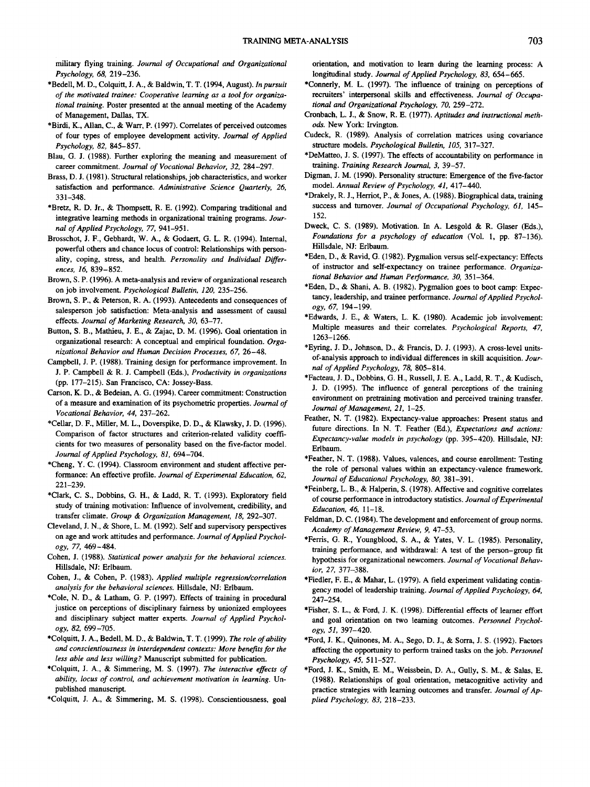military flying training. *Journal of Occupational and Organizational Psychology, 68,* 219-236.

- \*Bodell, M. D., Colquitt, J. A., & Baldwin, T. T. (1994, August). *lnpursuit of the motivated trainee: Cooperative learning as a tool for organizational training.* Poster presented at the annual meeting of the Academy of Management, Dallas, TX.
- \*Birdi, K., Allan, C., & Warr, P. (1997). Correlates of perceived outcomes of four types of employee development activity. *Journal of Applied Psychology, 82,* 845-857.
- Blau, G. J. (1988). Further exploring the meaning and measurement of career commitment. *Journal of Vocational Behavior, 32,* 284-297.
- Brass, D. J. (1981). Structural relationships, job characteristics, and worker satisfaction and performance. *Administrative Science Quarterly, 26,*  331-348.
- \*Bretz, R. D. Jr., & Thompsett, R. E. (1992). Comparing traditional and integrative learning methods in organizational training programs. *Journal of Applied Psychology, 77,* 941-951.
- Brosschot, J. F., Gebhardt, W. A., & Godaert, G. L. R. (1994). Internal, powerful others and chance locus of control: Relationships with personality, coping, stress, and health. *Personality and Individual Differences, 16,* 839-852.
- Brown, S. P. (1996). A meta-analysis and review of organizational research on job involvement. *Psychological Bulletin, 120,* 235-256.
- Brown, S. P., & Peterson, R. A. (1993). Antecedents and consequences of salesperson job satisfaction: Meta-analysis and assessment of causal effects. *Journal of Marketing Research, 30,* 63-77.
- Button, S. B., Mathieu, J. E., & Zajac, D. M. (1996). Goal orientation in organizational research: A conceptual and empirical foundation. *Organizational Behavior and Human Decision Processes, 67,* 26-48.
- Campbell, J. P. (1988). Training design for performance improvement. In J. P. Campbell & R. J. Campbell (Eds.), *Productivity in organizations*  (pp. 177-215). San Francisco, CA: Jossey-Bass.
- Carson, K. D., & Bedeian, A. G. (1994). Career commitment: Construction of a measure and examination of its psychometric properties. *Journal of Vocational Behavior, 44,* 237-262.
- \*Cellar, D. F., Miller, M. L., Doverspike, D. D., & Klawsky, J. D. (1996). Comparison of factor structures and criterion-related validity coefficients for two measures of personality based on the five-factor model. *Journal of Applied Psychology, 81,* 694-704.
- \*Cheng, Y. C. (1994). Classroom environment and student affective performance: An effective profile. *Journal of Experimental Education, 62,*  221-239.
- \*Clark, C. S., Dobbins, G. H., & Ladd, R. T. (1993). Exploratory field study of training motivation: Influence of involvement, credibility, and transfer climate. *Group & Organization Management, 18,* 292-307.
- Cleveland, J. N., & Shore, L. M. (1992). Self and supervisory perspectives on age and work attitudes and performance. *Journal of Applied Psychology, 77,* 469-484.
- Cohen, J. (1988). *Statistical power analysis for the behavioral sciences.*  Hillsdale, NJ: Erlbaum.
- Cohen, J., & Cohen, P. (1983). *Applied multiple regression/correlation* analysis for the behavioral sciences. Hillsdale, NJ: Erlbaum.
- \*Cole, N. D., & Latham, G. P. (1997). Effects of training in procedural justice on perceptions of disciplinary fairness by unionized employees and disciplinary subject matter experts. *Journal of Applied Psychology, 82,* 699-705.
- \*Colqnitt, J. A., Bedell, M. D., & Baldwin, T. T. (1999). *The role of ability and conscientiousness in interdependent contexts: More benefits for the less able and less willing?* Manuscript submitted for publication.
- \*Colquitt, J. A., & Simmering, M. S. (1997). *The interactive effects of ability, locus of control, and achievement motivation in learning.* Unpublished manuscript.
- \*Colquitt, J. A., & Simmering, M. S. (1998). Conscientiousness, goal

orientation, and motivation to learn during the learning process: A longitudinal study. *Journal of Applied Psychology, 83,* 654-665.

- \*Conneriy, M. L. (1997). The influence of training on perceptions of recruiters' interpersonal skills and effectiveness. *Journal of Occupational and Organizational Psychology, 70,* 259-272.
- Cronbach, L. J., & Snow, R. E. (1977). *Aptitudes and instructional meth*ods. New York: Irvington.
- Cudeck, R. (1989). Analysis of correlation matrices using covariance structure models. *Psychological Bulletin, 105,* 317-327.
- \*DeMatteo, J. S. (1997). The effects of accountability on performance in training. *Training Research Journal, 3,* 39-57.
- Digman, J. M. (1990). Personality structure: Emergence of the five-factor model. *Annual Review of Psychology, 41,* 417-440.
- \*Drakely, R. J., Herriot, P., & Jones, A. (1988). Biographical data, training success and turnover. *Journal of Occupational Psychology, 61,* 145- 152.
- Dweck, C. S. (1989). Motivation. In A. Lesgold & R. Glaser (Eds.), *Foundations for a psychology of education* (Vol. 1, pp. 87-136). Hillsdale, NJ: Erlbaum.
- \*Eden, D., & Ravid, G. (1982). Pygmalion versus self-expectancy: Effects of instructor and self-expectancy on trainee performance. *Organizational Behavior and Human Performance, 30,* 351-364.
- \*Eden, D., & Shani, A. B. (1982). Pygmalion goes to boot camp: Expectancy, leadership, and trainee performance. *Journal of Applied Psychology, 67,* 194-199.
- \*Edwards, J. E., & Waters, L. K. (1980). Academic job involvement: Multiple measures and their correlates. *Psychological Reports, 47,*  1263-1266.
- \*Eyring, J. D., Johnson, D., & Francis, D. J. (1993). A cross-level unitsof-analysis approach to individual differences in skill acquisition. *Journal of Applied Psychology, 78,* 805-814.
- \*Facteau, J. D., Dobbins, G. H., Russell, J. E. A., Ladd, R. T., & Kudisch, J. D. (1995). The influence of general perceptions of the training environment on pretraining motivation and perceived training transfer. *Journal of Management, 21,* 1-25.
- Feather, N. T. (1982). Expectancy-value approaches: Present status and future directions. In N. T. Feather (Ed.), *Expectations and actions: Expectancy-value models in psychology* (pp. 395-420). Hillsdale, NJ: Erlbaum.
- \*Feather, N. T. (1988). Values, valences, and course enrollment: Testing the role of personal values within an expectancy-valence framework. *Journal of Educational Psychology, 80,* 381-391.
- \*Feinberg, L. B., & Halperin, S. (1978). Affective and cognitive correlates of course performance in introductory statistics. *Journal of Experimental Education, 46,* 11-18.
- Feldman, D. C. (1984). The development and enforcement of group norms. *Academy of Management Review, 9,* 47-53.
- \*Fenis, G. R., Youngblood, S. A., & Yates, V. L. (1985). Personality, training performance, and withdrawal: A test of the person-group fit hypothesis for organizational newcomers. *Journal of Vocational Behavior, 27,* 377-388.
- \*Fiedler, F. E., & Mahar, L. (1979). A field experiment validating contingency model of leadership training. *Journal of Applied Psychology, 64,*  247-254.
- \*Fisher, S. L., & Ford, J. K. (1998). Differential effects of learner effort and goal orientation on two learning outcomes. *Personnel Psychology, 51,* 397-420.
- \*Ford, J. K., Quinones, M. A., Sego, D. J., & Sorra, J. S. (1992). Factors affecting the opportunity to perform trained tasks on the job. *Personnel Psychology, 45,* 511-527.
- \*Ford, J. K., Smith, E. M., Weissbein, D. A., Gully, S. M., & Salas, E. (1988). Relationships of goal orientation, metacognitive activity and practice strategies with learning outcomes and transfer. *Journal of Applied Psychology, 83,* 218-233.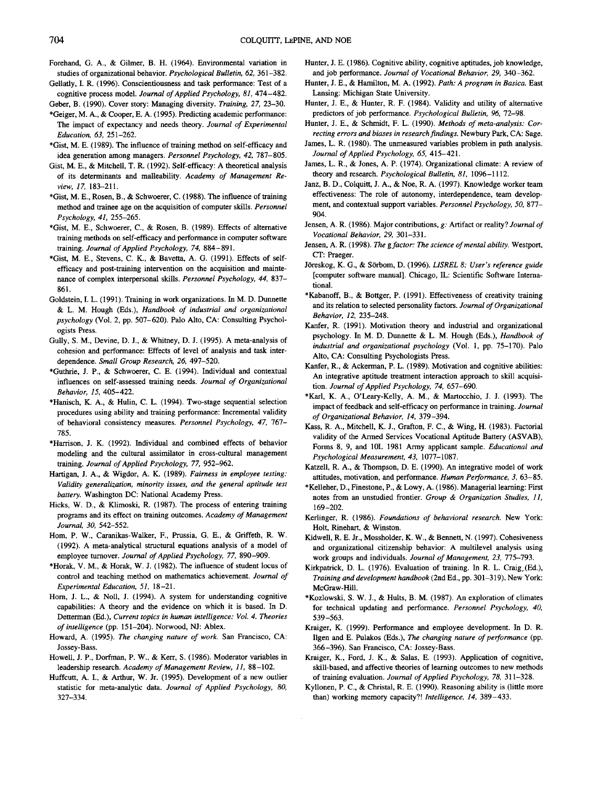- Forehand, G. A., & Gilmer, B. H. (1964). Environmental variation in studies of organizational behavior. *Psychological Bulletin, 62,* 361-382.
- Gellatly, I. R. (1996). Conscientiousness and task performance: Test of a cognitive process model. *Journal of Applied Psychology, 81,* 474-482. Geber, B. (1990). Cover story: Managing diversity. *Training, 27,* 23-30.
- \*Geiger, M. A., & Cooper, E. A. (1995). Predicting academic performance: The impact of expectancy and needs theory. *Journal of Experimental Education, 63,* 251-262.
- \*Gist, M. E. (1989). The influence of training method on self-efficacy and idea generation among managers. *Personnel Psychology, 42,* 787-805.
- Gist, M. E., & Mitchell, T. R. (1992). Self-efficacy: A theoretical analysis of its determinants and malleability. *Academy of Management Review, 17,* 183-211.
- \*Gist, M. E., Rosen, B., & Schwoerer, C. (1988). The influence of training method and trainee age on the acquisition of computer skills. *Personnel Psychology, 41,* 255-265.
- \*Gist, M. E., Schwoerer, C., & Rosen, B. (1989). Effects of alternative training methods on self-efficacy and performance in computer software training. *Journal of Applied Psychology, 74,* 884-891.
- \*Gist, M. E., Stevens, C. K., & Bavetta, A. G. (1991). Effects of selfefficacy and post-training intervention on the acquisition and maintenance of complex interpersonal skills. *Personnel Psychology, 44,* 837- 861.
- Goldstein, I. L. (1991). Training in work organizations. In M. D. Dunnette & L. M. Hough (Eds.), *Handbook of industrial and organizational psychology* (Vol. 2, pp. 507-620). Palo Alto, CA: Consulting Psychologists Press.
- Gully, S. M., Devine, D. J., & Whitney, D. J. (1995). A meta-analysis of cohesion and performance: Effects of level of analysis and task interdependence. *Small Group Research, 26,* 497-520.
- \*Guthrie, J. P., & Schwoerer, C. E. (1994). Individual and contextual influences on self-assessed training needs. *Journal of Organizational Behavior, 15,* 405-422.
- \*Hanisch, K. A., & Hulin, C. L. (1994). Two-stage sequential selection procedures using ability and training performance: Incremental validity of behavioral consistency measures. *Personnel Psychology, 47,* 767- 785.
- \*Harrison, J. K. (1992). Individual and combined effects of behavior modeling and the cultural assimilator in cross-cultural management training. *Journal of Applied Psychology, 77,* 952-962.
- Hartigan, J. A., & Wigdor, A. K. (1989). *Fairness in employee testing: Validity generalization, minority issues, and the general aptitude test battery.* Washington DC: National Academy Press.
- Hicks, W. D., & Klimoski, R. (1987). The process of entering training programs and its effect on training outcomes. *Academy of Management Journal, 30,* 542-552.
- Hom, P. W., Caranikas-Walker, F., Prussia, G. E., & Griffeth, R. W. (1992). A meta-anaiytical structural equations analysis of a model of employee turnover. *Journal of Applied Psychology, 77,* 890-909.
- \*Horak, V. M., & Horak, W. J. (1982). The influence of student locus of control and teaching method on mathematics achievement. *Journal of Experimental Education, 51,* 18-21.
- Horn, J. L., & Noll, J. (1994). A system for understanding cognitive capabilities: A theory and the evidence on which it is based. In D. Detterman (Ed.), *Current topics in human intelligence: Vol. 4. Theories*  of intelligence (pp. 151-204). Norwood, NJ: Ablex.
- Howard, A. (1995). The *changing nature of work.* San Francisco, CA: Jossey-Bass.
- Howell, J. P., Dorfman, P. W., & Kerr, S. (1986). Moderator variables in leadership research. *Academy of Management Review, 11,* 88-102.
- Huffcutt, A. I., & Arthur, W. Jr. (1995). Development of a new outlier statistic for meta-analytic data. *Journal of Applied Psychology, 80,*  327-334.
- Hunter, J. E. (1986). Cognitive ability, cognitive aptitudes, job knowledge, and job performance. *Journal of Vocational Behavior, 29,* 340-362.
- Hunter, J. E., & Hamilton, M. A. (1992). *Path: A program in Basica.* East Lansing: Michigan State University.
- Hunter, J. E., & Hunter, R. F. (1984). Validity and utility of alternative predictors of job performance. *Psychological Bulletin, 96,* 72-98.
- Hunter, J. E., & Schmidt, F. L. (1990). *Methods of meta-analysis: Correcting errors and biases in research findings.* Newbury Park, CA: Sage.
- James, L. R. (1980). The unmeasured variables problem in path analysis. *Journal of Applied Psychology, 65,* 415-421.
- James, L. R., & Jones, A. P. (1974). Organizational climate: A review of theory and research. *Psychological Bulletin, 81,* 1096-1112.
- Janz, B. D., Colquitt, J. A., & Noe, R. A. (1997). Knowledge worker team effectiveness: The role of autonomy, interdependence, team development, and contextual support variables. *Personnel Psychology, 50,* 877- 904.
- Jensen, A. R. (1986). Major contributions, *g:* Artifact or reality? *Journal of Vocational Behavior, 29,* 301-331.
- Jensen, A. R. (1998). The *g factor: The science of mental ability.* Westport, CT: Praeger.
- Jöreskog, K. G., & Sörbom, D. (1996). *LISREL 8: User's reference guide* [computer software manual]. Chicago, IL: Scientific Software International.
- \*Kahanoff, B., & Bottger, P. (1991). Effectiveness of creativity training and its relation to selected personality factors. *Journal of Organizational Behavior, 12,* 235-248.
- Kanfer, R. (1991). Motivation theory and industrial and organizational psychology. In M. D. Dunnette & L. M. Hough (Eds.), *Handbook of industrial and organizational psychology* (Vol. 1, pp. 75-170). Palo Alto, CA: Consulting Psychologists Press.
- Kanfer, R., & Ackerman, P. L. (1989). Motivation and cognitive abilities: An integrative aptitude treatment interaction approach to skill acquisition. *Journal of Applied Psychology, 74,* 657-690.
- \*Karl, K. A., O'Leary-Kelly, A. M., & Martoccbio, J. J. (1993). The impact of feedback and self-efficacy on performance in training. *Journal of Organizational Behavior, 14,* 379-394.
- Kass, R. A., Mitchell, K. J., Grafton, F. C., & Wing, H. (1983). Factorial validity of the Armed Services Vocational Aptitude Battery (ASVAB), Forms 8, 9, and 10L 1981 Army applicant sample. *Educational and Psychological Measurement, 43,* 1077-1087.
- Katzell, R. A., & Thompson, D. E. (1990). An integrative model of work attitudes, motivation, and performance. *Human Performance, 3,* 63-85.
- \*Kelleber, D., Finestone, P., & Lowy, A. (1986). Managerial learning: First notes from an unstudied frontier. *Group & Organization Studies, 11,*  169-202.
- Kerlinger, R. (1986). *Foundations of behavioral research.* New York: Holt, Rinehart, & Winston.
- Kidwell, R. E. Jr., Mossholder, K. W., & Bennett, N. (1997). Cohesiveness and organizational citizenship behavior: A multilevel analysis using work groups and individuals. *Journal of Management, 23,* 775-793.
- Kirkpatrick, D. L. (1976). Evaluation of training. In R. L. Craig,(Ed.), *Training and development handbook* (2nd Ed., pp. 301-319). New York: McGraw-Hill.
- \*Kozlowski, S. W. J., & Hults, B. M. (1987). An exploration of climates for technical updating and performance. *Personnel Psychology, 40,*  539 -563.
- Kraiger, K. (1999). Performance and employee development. In D. R. Ilgen and E. Pulakos (Eds.), *The changing nature of performance* (pp. 366-396). San Francisco, CA: Jossey-Bass.
- Kraiger, K., Ford, J. K., & Salas, E. (1993). Application of cognitive, skill-based, and affective theories of learning outcomes to new methods of training evaluation. *Journal of Applied Psychology, 78,* 311-328.
- Kyllonen, P. C., & Christal, R. E. (1990). Reasoning ability is (little more than) working memory capacity?! *Intelligence*, 14, 389-433.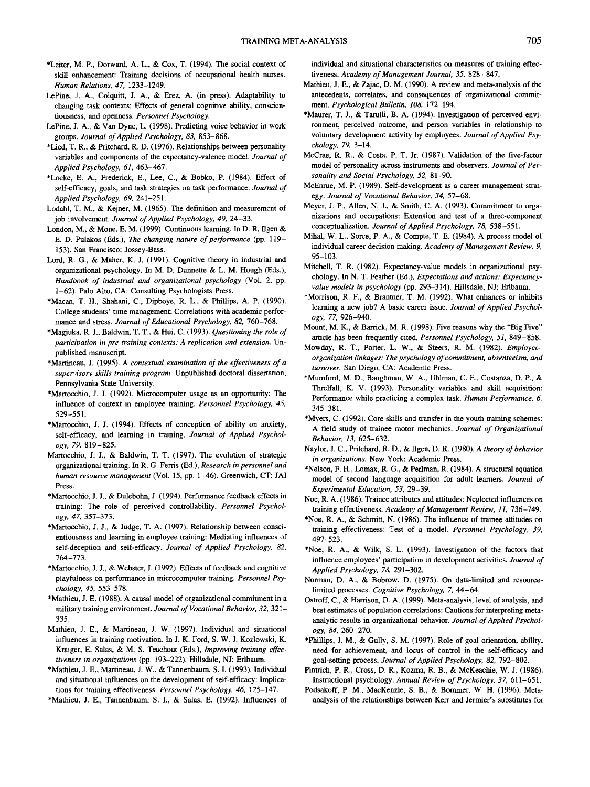- \*Leiter, M. P., Dorward, A. L., & Cox, T. (1994). The social context of skill enhancement: Training decisions of occupational health nurses. *Human Relations,* 47, 1233-1249.
- LePine, J. A., Colquitt, J. A., & Erez, A. (in press). Adaptability to changing task contexts: Effects of general cognitive ability, conscientiousness, and openness. *Personnel Psychology.*
- LePine, J. A., & Van Dyne, L. (1998). Predicting voice behavior in work groups. *Journal of Applied Psychology, 83,* 853-868.
- \*Lied, T. R., & Pritchard, R. D. (1976). Relationships between personality variables and components of the expectancy-valence model. *Journal of Applied Psychology, 61,* 463-467.
- \*Locke, E. A., Frederick, E., Lee, C., & Bobko, P. (1984). Effect of self-efficacy, goals, and task strategies on task performance. *Journal of Applied Psychology, 69,* 241-251.
- Lodahl, T. M., & Kejner, M. (1965), The definition and measurement of job involvement. *Journal of Applied Psychology, 49,* 24-33.
- London, M., & Mone, E. M. (1999). Continuous learning. In D. R. Ilgen & E. D. Pulakos (Eds.), The *changing nature of performance* (pp. 119- 153). San Francisco: Jossey-Bass.
- Lord, R. G., & Maher, K. J. (1991). Cognitive theory in industrial and organizational psychology. In M. D. Dunnette & L. M. Hough (Eds.), *Handbook of industrial and organizational psychology* (Vol. 2, pp. 1-62). Palo Alto, CA: Consulting Psychologists Press.
- \*Macan, T. H., Shahani, C., Dipboye, R. L., & Phillips, A. P. (1990). College students' time management: Correlations with academic performance and stress. *Journal of Educational Psychology, 82,* 760-768.
- \*Magjuka, R. J., Baldwin, T. T., & Hui, C. (1993). *Questioning the role of participation in pre-training contexts: A replication and extension.* Unpublished manuscript.
- \*Martineau, J. (1995). *A contextual examination of the effectiveness of a supervisory skills training program.* Unpublished doctoral dissertation, Pennsylvania State University.
- \*Martocchio, J. J. (1992). Microcomputer usage as an opportunity: The influence of context in employee training. *Personnel Psychology, 45,*  529-551.
- \*Martocchio, J. J. (1994). Effects of conception of ability on anxiety, self-efficacy, and learning in training. *Journal of Applied Psychology, 79,* 819-825.
- Martocchio, J. J., & Baldwin, T. T. (1997). The evolution of strategic organizational training. In R. G. Ferris (Ed.), *Research in personnel and human resource management* (Vol. 15, pp. 1-46). Greenwich, CT: JAI Press.
- \*Martocchio, J. J., & Dulebohn, J. (1994). Performance feedback effects in training: The role of perceived controllability. *Personnel Psychology, 47,* 357-373.
- \*Martocchio, J. J., & Judge, T. A. (1997). Relationship between conscientiousness and learning in employee training: Mediating influences of self-deception and self-efficacy. *Journal of Applied Psychology, 82,*  764-773.
- \*Martocchio, J. J., & Webster, J. (1992). Effects of feedback and cognitive playfulness on performance in microcomputer training. *Personnel Psychology, 45,* 553-578.
- \*Mathieu, J. E. (1988). A causal model of organizational commitment in a military training environment. *Journal of Vocational Behavior, 32,* 321- 335.
- Mathieu, J. E., & Martineau, J. W. (1997). Individual and situational influences in training motivation. In J. K. Ford, S. W. J. Kozlowski, K. Kraiger, E. Salas, & M. S. Teachout (Eds.), *Improving training effectiveness in organizations* (pp. 193-222). Hillsdale, NJ: Erlbaum.
- \*Mathieu, J. E., Martineau, J. W., & Tannenbaum, S. I. (1993). Individual and situational influences on the development of self-efficacy: Implications for training effectiveness. *Personnel Psychology, 46,* 125-147.
- \*Mathieu, J. E., Tannenbaum, S. I., & Salas, E. (1992). Influences of

individual and situational characteristics on measures of training effectiveness. *Academy of Management Journal, 35,* 828-847.

- Mathieu, J. E., & Zajac, D. M. (1990). A review and meta-analysis of the antecedents, correlates, and consequences of organizational commitment. *Psychological Bulletin, 108,* 172-194.
- \*Maurer, T. J., & Tarulli, B. A. (1994). Investigation of perceived environment, perceived outcome, and person variables in relationship to voluntary development activity by employees. *Journal of Applied Psychology, 79,* 3-14.
- McCrae, R. R., & Costa, P. T. Jr. (1987). Validation of the five-factor model of personality across instruments and observers. *Journal of Personality and Social Psychology, 52,* 81-90.
- McEnrue, M. P. (1989). Self-development as a career management strategy. *Journal of Vocational Behavior, 34,* 57-68.
- Meyer, J. P., Allen, N. J., & Smith, C. A. (1993). Commitment to organizations and occupations: Extension and test of a three-component conceptualization. *Journal of Applied Psychology, 78,* 538-551.
- Mihal, W. L., Sorce, P. A., & Compte, T. E. (1984). A process model of individual career decision making. *Academy of Management Review, 9,*  95-103.
- Mitchell, T. R. (1982). Expectancy-value models in organizational psychology. In N. T. Feather (Ed.), *Expectations and actions: Expectancyvalue models in psychology* (pp. 293-314). Hillsdale, NJ: Erlbaum.
- \*Morrison, R. F., & Brantner, T. M. (1992). What enhances or inhibits learning a new job? A basic career issue. *Journal of Applied Psychology, 77,* 926-940.
- Mount, M. K., & Barrick, M. R. (1998). Five reasons why the "Big Five" article has been frequently cited. *Personnel Psychology, 51,* 849-858.
- Mowday, R. T., Porter, L. W., & Steers, R. M. (1982). *Employeeorganization linkages: The psychology of commitment, absenteeism, and turnover.* San Diego, CA: Academic Press.
- \*Mumford, M. D., Baughman, W. A., Uhlman, C. E., Costanza, D. P., & Threlfall, K. V. (1993). Personality variables and skill acquisition: Performance while practicing a complex task. *Human Performance, 6,*  345-381.
- \*Myers, C. (1992). Core skills and transfer in the youth training schemes: A field study of trainee motor mechanics. *Journal of Organizational Behavior, 13,* 625-632.
- Naylor, J. C., Pritchard, R. D., & Ilgen, D. R. (1980). *A theory of behavior in organizations.* New York: Academic Press.
- \*Nelson, F. H., Lomax, R. G., & Perlman, R. (1984). A structural equation model of second language acquisition for adult learners. *Journal of Experimental Education, 53,* 29-39.
- Noe, R. A. (1986). Trainee attributes and attitudes: Neglected influences on training effectiveness. *Academy of Management Review, 11,* 736-749.
- \*Noe, R. A., & Schmitt, N. (1986). The influence of trainee attitudes on training effectiveness: Test of a model. *Personnel Psychology, 39,*  497-523.
- \*Nee, R. A., & Wilk, S. L. (1993). Investigation of the factors that influence employees' participation in development activities. *Journal of Applied Psychology, 78,* 291-302.
- Norman, D. A., & Bobrow, D. (1975). On data-limited and resourcelimited processes. *Cognitive Psychology, 7, 44-64.*
- Ostroff, C., & Harrison, D. A. (1999). Meta-analysis, level of analysis, and best estimates of population correlations: Cautions for interpreting metaanalytic results in organizational behavior. *Journal of Applied Psychology, 84,* 260-270.
- \*Phillips, J. M., & Gully, S. M. (1997). Role of goal orientation, ability, need for achievement, and locus of control in the self-efficacy and goal-setting process. *Journal of Applied Psychology, 82,* 792-802.
- Pintrich, P. R., Cross, D. R., Kozma, R. B., & McKeachie, W. J. (1986). Instructional psychology. *Annual Review of Psychology, 37,* 611-651.
- Podsakoff, P. M., MacKenzie, S. B., & Bommer, W. H. (1996). Metaanalysis of the relationships between Kerr and Jermier's substitutes for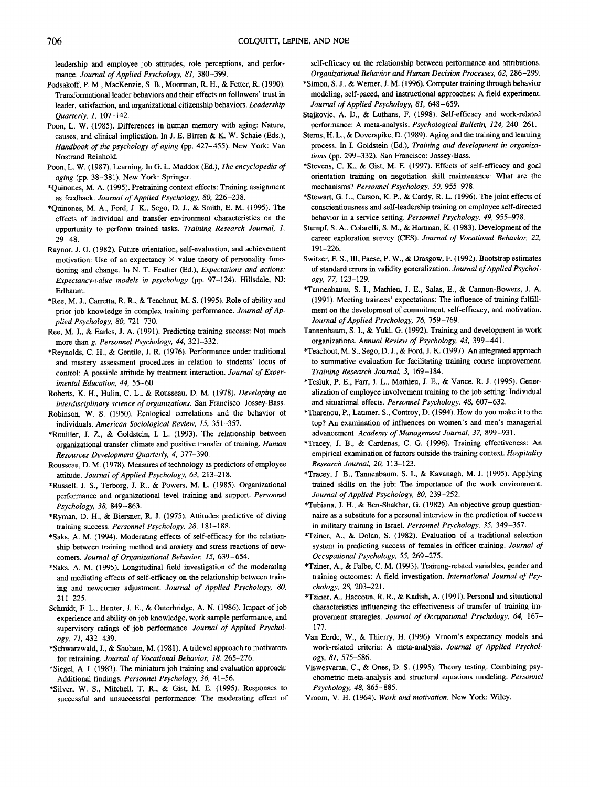leadership and employee job attitudes, role perceptions, and performance. *Journal of Applied Psychology, 81,* 380-399.

- Podsakoff, P. M., MacKenzie, S. B., Moorman, R. H., & Fetter, R. (1990). Transformational leader behaviors and their effects on followers' trust in leader, satisfaction, and organizational citizenship behaviors. *Leadership Quarterly, 1,* 107-142.
- Poon, L. W. (1985). Differences in human memory with aging: Nature, causes, and clinical implication. In J. E. Birren & K. W. Schaie (Eds.), *Handbook of the psychology of aging* (pp. 427-455). New York: Van Nostrand Reinhold.
- Poon, L. W. (1987). Learning. In G. L. Maddox (Ed.), *The encyclopedia of aging* (pp. 38-381). New York: Springer.
- \*Quinones, M. A. (1995). Pretraining context effects: Training assignment as feedback. *Journal of Applied Psychology, 80,* 226-238.
- \*Quinones, M. A., Ford, J. K., Sego, D. J., & Smith, E. M. (1995). The effects of individual and transfer environment characteristics on the opportunity to perform trained tasks. *Training Research Journal, 1,*   $29 - 48.$
- Raynor, J. O. (1982). Future orientation, self-evaluation, and achievement motivation: Use of an expectancy  $\times$  value theory of personality functioning and change. In N. T. Feather (Ed.), *Expectations and actions: Expectancy-value models in psychology* (pp. 97-124). Hillsdale, NJ: Erlbaum.
- \*Ree, M. J., Carretta, R. R., & Teachout, M. S. (1995). Role of ability and prior job knowledge in complex training performance. *Journal of Applied Psychology, 80,* 721-730.
- Ree, M. J., & Earles, J. A. (1991). Predicting training success: Not much more *than g. Personnel Psychology, 44,* 321-332.
- \*Reynolds, C. H., & Gentile, J. R. (1976). Performance under traditional and mastery assessment procedures in relation to students' locus of control: A possible attitude by treatment interaction. *Journal of Experimental Education, 44,* 55-60.
- Roberts, K. H., Hulin, C. L., & Rousseau, D. M. (1978). *Developing an interdisciplinary science of organizations.* San Francisco: Jossey-Bass.
- Robinson, W. S. (1950). Ecological correlations and the behavior of individuals. *American Sociological Review, 15,* 351-357.
- \*Rouiller, J. Z., & Goldstein, I. L. (1993). The relationship between organizational transfer climate and positive transfer of training. *Human Resources Development Quarterly, 4,* 377-390.
- Rousseau, D. M. (1978). Measures of technology as predictors of employee attitude. *Journal of Applied Psychology, 63,* 213-218.
- \*Russell, J. S., Terborg, J. R., & Powers, M. L. (1985). Organizational performance and organizational level training and support. *Personnel Psychology, 38,* 849-863.
- \*Ryman, D. H., & Biersner, R. J. (1975). Attitudes predictive of diving training success. *Personnel Psychology, 28,* 181-188.
- \*Saks, A. M. (1994). Moderating effects of self-efficacy for the relationship between training method and anxiety and stress reactions of newcomers. *Journal of Organizational Behavior, 15,* 639-654.
- \*Saks, A. M. (1995). Longitudinal field investigation of the moderating and mediating effects of self-efficacy on the relationship between training and newcomer adjustment. *Journal of Applied Psychology, 80,*  211-225.
- Schmidt, F. L., Hunter, J. E., & Outerhridge, A. N. (1986). Impact of job experience and ability on job knowledge, work sample performance, and supervisory ratings of job performance. *Journal of Applied Psychology, 71,* 432-439.
- \*Schwarzwald, J., & Shoham, M. (1981). A trilevel approach to motivators for retraining. *Journal of Vocational Behavior, 18,* 265-276.
- \*Siegel, A. I. (1983). The miniature job training and evaluation approach: Additional findings. *Personnel Psychology, 36,* 41-56.
- \*Silver, W. S., Mitchell, T. R., & Gist, M. E. (1995). Responses to successful and unsuccessful performance: The moderating effect of

self-efficacy on the relationship between performance and attributions. *Organizational Behavior and Human Decision Processes, 62,* 286-299.

- \*Simon, S. J., & Werner, J. M. (1996). Computer training through behavior modeling, self-paced, and instructional approaches: A field experiment. *Journal of Applied Psychology, 81,* 648-659.
- Stajkovic, A. D., & Luthans, F. (1998). Self-efficacy and work-related performance: A meta-analysis. *Psychological Bulletin, 124,* 240-261.
- Sterns, H. L., & Doverspike, D. (1989). Aging and the training and learning process. In I. Goldstein (Ed.), *Training and development in organizations* (pp. 299-332). San Francisco: Jossey-Bass.
- \*Stevens, C. K., & Gist, M. E. (1997). Effects of self-efficacy and goal orientation training on negotiation skill maintenance: What are the mechanisms? *Personnel Psychology, 50,* 955-978.
- \*Stewart, G. L., Carson, K. P., & Curdy, R. L. (1996). The joint effects of conscientiousness and self-leadership training on employee self-directed behavior in a service setting. *Personnel Psychology, 49,* 955-978.
- Stumpf, S. A., Colarelli, S. M., & Hartman, K. (1983). Development of the career exploration survey (CES). *Journal of Vocational Behavior, 22,*  191-226.
- Switzer, F. S., III, Paese, P. W., & Drasgow, F. (1992). Bootstrap estimates of standard errors in validity generalization. *Journal of Applied Psychology, 77,* 123-129.
- \*Tannenbaum, S. I., Mathieu, J. E., Salas, E., & Cannon-Bowers, J. A. (1991). Meeting trainees' expectations: The influence of training fulfillment on the development of commitment, self-efficacy, and motivation. *Journal of Applied Psychology, 76,* 759-769.
- Tannenbaum, S. I., & Yukl, G. (1992). Training and development in work organizations. *Annual Review of Psychology, 43,* 399-441.
- \*Teachout, M. S., Sego, D. J., & Ford, J. K. (1997). An integrated approach to summative evaluation for facilitating training course improvement. *Training Research Journal, 3,* 169-184.
- \*Tesluk, P. E., Farr, J. L., Mathieu, J. E., & Vance, R. J. (1995). Generalization of employee involvement training to the job setting: Individual and situational effects. *Personnel Psychology, 48,* 607-632.
- \*Tharenou, P., Latimer, S., Controy, D. (1994). How do you make it to the top? An examination of influences on women's and men's managerial advancement. *Academy of Management Journal, 37,* 899-931.
- \*Tracey, J. B., & Cardenas, C. G. (1996). Training effectiveness: An empirical examination of factors outside the training context. *Hospitality Research Journal, 20,* 113-123.
- \*Tracey, J. B., Tannenbaum, S. I., & Kavanagh, M. J. (1995). Applying trained skills on the job: The importance of the work environment. *Journal of Applied Psychology, 80,* 239-252.
- \*Tubiana, J. H., & Ben-Shakhar, G. (1982). An objective group questionnaire as a substitute for a personal interview in the prediction of success in military training in Israel. *Personnel Psychology, 35,* 349-357.
- \*Tziner, A., & Dolan, S. (1982). Evaluation of a traditional selection system in predicting success of females in officer training. *Journal of Occupational Psychology, 55,* 269-275.
- \*Tziner, A., & Falbe, C. M. (1993). Training-related variables, gender and training outcomes: A field investigation. *International Journal of Psychology, 28,* 203-221.
- \*Tziner, A., Haccoun, R. R., & Kadish, A. (1991). Personal and situational characteristics influencing the effectiveness of transfer of training improvement strategies. *Journal of Occupational Psychology, 64,* 167- 177.
- Van Eerde, W., & Thierry, H. (1996). Vroom's expectancy models and work-related criteria: A meta-analysis. *Journal of Applied Psychology, 81,* 575-586.
- Viswesvaran, C., & Ones, D. S. (1995). Theory testing: Combining psychometric meta-analysis and structural equations modeling. *Personnel Psychology, 48,* 865-885.
- Vroom, V. H. (1964). *Work and motivation.* New York: Wiley.